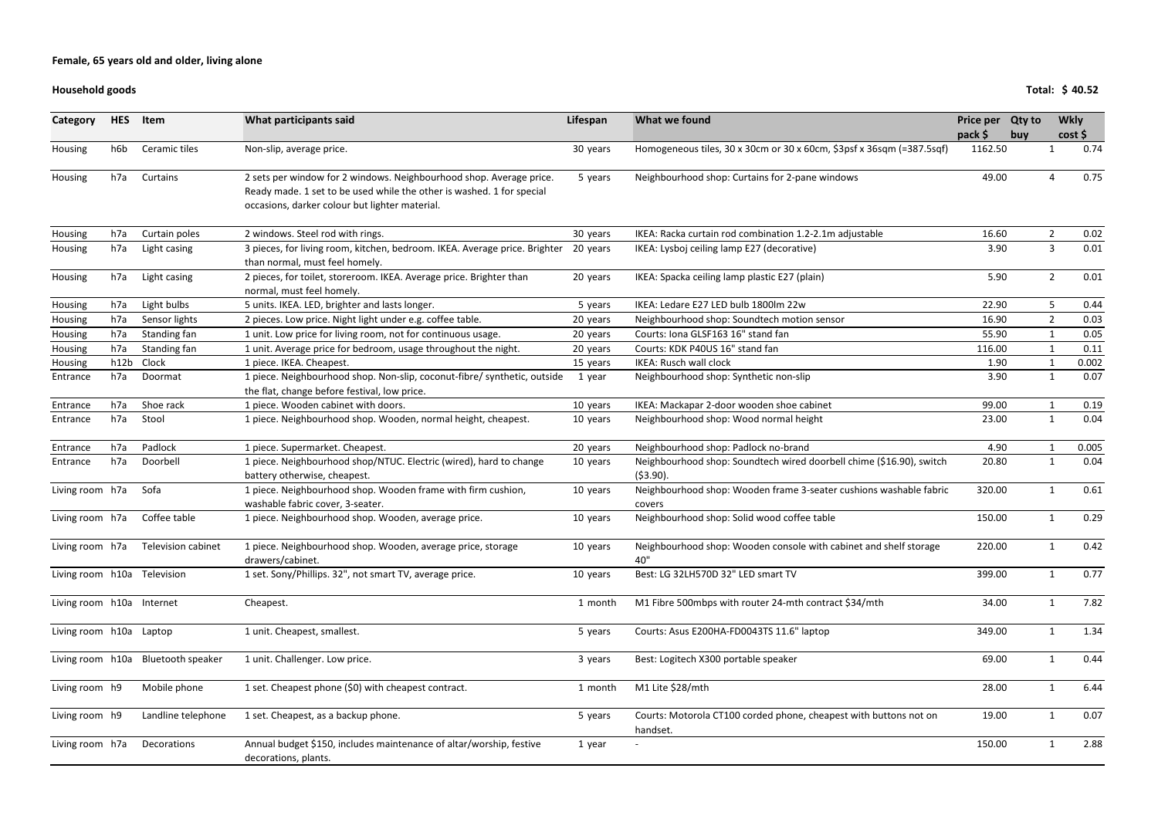### **Household goods**

| Category                    | <b>HES</b> | Item                               | What participants said                                                                                                                                                                         | Lifespan | What we found                                                                       | Price per Qty to   |     | <b>Wkly</b>    |              |
|-----------------------------|------------|------------------------------------|------------------------------------------------------------------------------------------------------------------------------------------------------------------------------------------------|----------|-------------------------------------------------------------------------------------|--------------------|-----|----------------|--------------|
|                             | h6b        | Ceramic tiles                      |                                                                                                                                                                                                |          | Homogeneous tiles, 30 x 30cm or 30 x 60cm, \$3psf x 36sqm (=387.5sqf)               | pack \$<br>1162.50 | buy |                | cost<br>0.74 |
| Housing                     |            |                                    | Non-slip, average price.                                                                                                                                                                       | 30 years |                                                                                     |                    |     |                |              |
| Housing                     | h7a        | Curtains                           | 2 sets per window for 2 windows. Neighbourhood shop. Average price.<br>Ready made. 1 set to be used while the other is washed. 1 for special<br>occasions, darker colour but lighter material. | 5 years  | Neighbourhood shop: Curtains for 2-pane windows                                     | 49.00              |     |                | 0.75         |
| Housing                     | h7a        | Curtain poles                      | 2 windows. Steel rod with rings.                                                                                                                                                               | 30 years | IKEA: Racka curtain rod combination 1.2-2.1m adjustable                             | 16.60              |     | $2^{\circ}$    | 0.02         |
| Housing                     | h7a        | Light casing                       | 3 pieces, for living room, kitchen, bedroom. IKEA. Average price. Brighter<br>than normal, must feel homely.                                                                                   | 20 years | IKEA: Lysboj ceiling lamp E27 (decorative)                                          | 3.90               |     | 3              | 0.01         |
| Housing                     | h7a        | Light casing                       | 2 pieces, for toilet, storeroom. IKEA. Average price. Brighter than<br>normal, must feel homely.                                                                                               | 20 years | IKEA: Spacka ceiling lamp plastic E27 (plain)                                       | 5.90               |     | $2^{\circ}$    | 0.01         |
| Housing                     | h7a        | Light bulbs                        | 5 units. IKEA. LED, brighter and lasts longer.                                                                                                                                                 | 5 years  | IKEA: Ledare E27 LED bulb 1800lm 22w                                                | 22.90              |     | 5              | 0.44         |
| Housing                     | h7a        | Sensor lights                      | 2 pieces. Low price. Night light under e.g. coffee table.                                                                                                                                      | 20 years | Neighbourhood shop: Soundtech motion sensor                                         | 16.90              |     | $\overline{2}$ | 0.03         |
| Housing                     | h7a        | Standing fan                       | 1 unit. Low price for living room, not for continuous usage.                                                                                                                                   | 20 years | Courts: Iona GLSF163 16" stand fan                                                  | 55.90              |     |                | 0.05         |
| Housing                     | h7a        | Standing fan                       | 1 unit. Average price for bedroom, usage throughout the night.                                                                                                                                 | 20 years | Courts: KDK P40US 16" stand fan                                                     | 116.00             |     | $\mathbf{1}$   | 0.11         |
| Housing                     | h12b       | Clock                              | 1 piece. IKEA. Cheapest.                                                                                                                                                                       | 15 years | <b>IKEA: Rusch wall clock</b>                                                       | 1.90               |     |                | 0.002        |
| Entrance                    | h7a        | Doormat                            | 1 piece. Neighbourhood shop. Non-slip, coconut-fibre/ synthetic, outside<br>the flat, change before festival, low price.                                                                       | 1 year   | Neighbourhood shop: Synthetic non-slip                                              | 3.90               |     | 1              | 0.07         |
| Entrance                    | h7a        | Shoe rack                          | 1 piece. Wooden cabinet with doors.                                                                                                                                                            | 10 years | IKEA: Mackapar 2-door wooden shoe cabinet                                           | 99.00              |     |                | 0.19         |
| Entrance                    | h7a        | Stool                              | 1 piece. Neighbourhood shop. Wooden, normal height, cheapest.                                                                                                                                  | 10 years | Neighbourhood shop: Wood normal height                                              | 23.00              |     | $\mathbf{1}$   | 0.04         |
| Entrance                    | h7a        | Padlock                            | 1 piece. Supermarket. Cheapest.                                                                                                                                                                | 20 years | Neighbourhood shop: Padlock no-brand                                                | 4.90               |     |                | 0.005        |
| Entrance                    | h7a        | Doorbell                           | 1 piece. Neighbourhood shop/NTUC. Electric (wired), hard to change<br>battery otherwise, cheapest.                                                                                             | 10 years | Neighbourhood shop: Soundtech wired doorbell chime (\$16.90), switch<br>$(53.90)$ . | 20.80              |     | $\mathbf{1}$   | 0.04         |
| Living room h7a             |            | Sofa                               | 1 piece. Neighbourhood shop. Wooden frame with firm cushion,<br>washable fabric cover, 3-seater.                                                                                               | 10 years | Neighbourhood shop: Wooden frame 3-seater cushions washable fabric<br>covers        | 320.00             |     | $\mathbf{1}$   | 0.61         |
| Living room h7a             |            | Coffee table                       | 1 piece. Neighbourhood shop. Wooden, average price.                                                                                                                                            | 10 years | Neighbourhood shop: Solid wood coffee table                                         | 150.00             |     | $\mathbf 1$    | 0.29         |
| Living room h7a             |            | <b>Television cabinet</b>          | 1 piece. Neighbourhood shop. Wooden, average price, storage<br>drawers/cabinet.                                                                                                                | 10 years | Neighbourhood shop: Wooden console with cabinet and shelf storage<br>40"            | 220.00             |     |                | 0.42         |
| Living room h10a Television |            |                                    | 1 set. Sony/Phillips. 32", not smart TV, average price.                                                                                                                                        | 10 years | Best: LG 32LH570D 32" LED smart TV                                                  | 399.00             |     | $\mathbf 1$    | 0.77         |
| Living room h10a Internet   |            |                                    | Cheapest.                                                                                                                                                                                      | 1 month  | M1 Fibre 500mbps with router 24-mth contract \$34/mth                               | 34.00              |     | $\mathbf{1}$   | 7.82         |
| Living room h10a Laptop     |            |                                    | 1 unit. Cheapest, smallest.                                                                                                                                                                    | 5 years  | Courts: Asus E200HA-FD0043TS 11.6" laptop                                           | 349.00             |     |                | 1.34         |
|                             |            | Living room h10a Bluetooth speaker | 1 unit. Challenger. Low price.                                                                                                                                                                 | 3 years  | Best: Logitech X300 portable speaker                                                | 69.00              |     | $\mathbf{1}$   | 0.44         |
| Living room h9              |            | Mobile phone                       | 1 set. Cheapest phone (\$0) with cheapest contract.                                                                                                                                            | 1 month  | M1 Lite \$28/mth                                                                    | 28.00              |     | $\mathbf{1}$   | 6.44         |
| Living room h9              |            | Landline telephone                 | 1 set. Cheapest, as a backup phone.                                                                                                                                                            | 5 years  | Courts: Motorola CT100 corded phone, cheapest with buttons not on<br>handset.       | 19.00              |     |                | 0.07         |
| Living room h7a             |            | Decorations                        | Annual budget \$150, includes maintenance of altar/worship, festive<br>decorations, plants.                                                                                                    | 1 year   |                                                                                     | 150.00             |     | $\mathbf{1}$   | 2.88         |

**Total: \$ 40.52**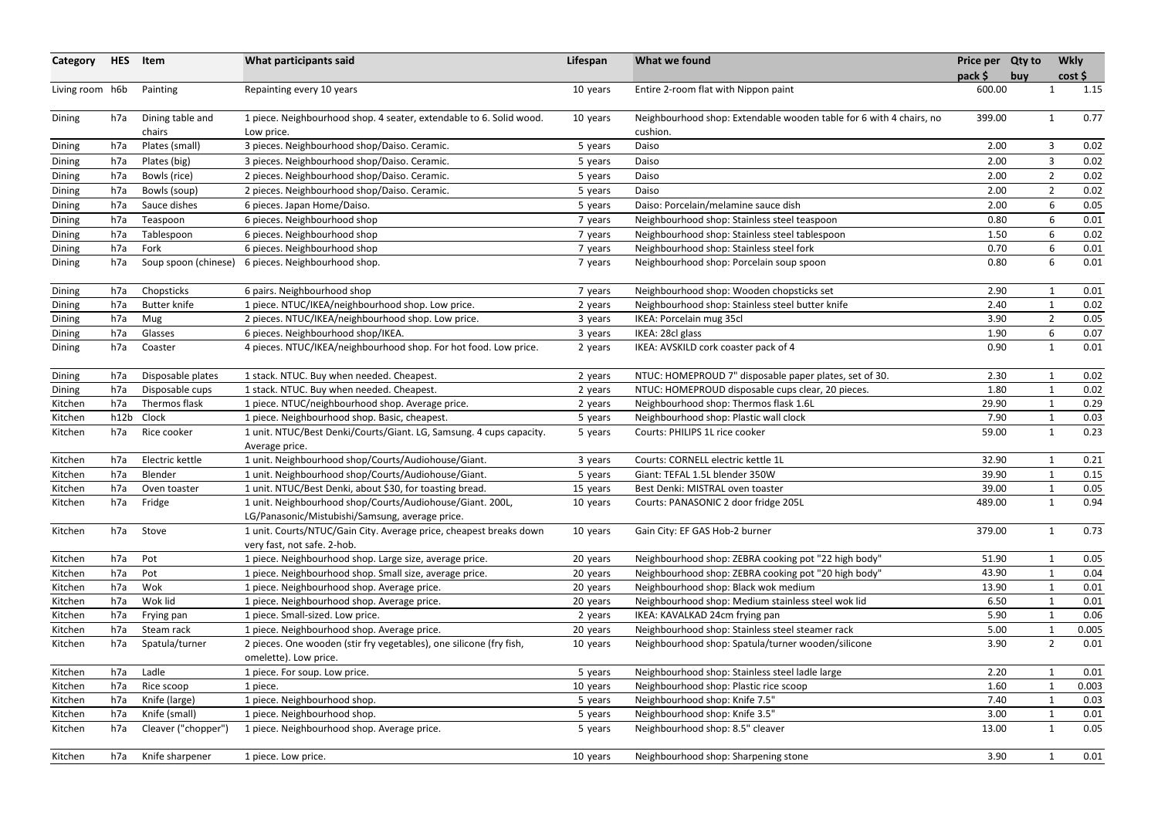| Category        | <b>HES</b> | Item                 | What participants said                                                                                       | Lifespan | What we found                                                       | Price per Qty to<br>$pack$ \$ | buy |                | <b>Wkly</b><br>cost |
|-----------------|------------|----------------------|--------------------------------------------------------------------------------------------------------------|----------|---------------------------------------------------------------------|-------------------------------|-----|----------------|---------------------|
| Living room h6b |            | Painting             | Repainting every 10 years                                                                                    | 10 years | Entire 2-room flat with Nippon paint                                | 600.00                        |     |                | 1.15                |
| Dining          | h7a        | Dining table and     | 1 piece. Neighbourhood shop. 4 seater, extendable to 6. Solid wood.                                          | 10 years | Neighbourhood shop: Extendable wooden table for 6 with 4 chairs, no | 399.00                        |     | $\mathbf{1}$   | 0.77                |
|                 |            | chairs               | Low price.                                                                                                   |          | cushion.                                                            |                               |     |                |                     |
| Dining          | h7a        | Plates (small)       | 3 pieces. Neighbourhood shop/Daiso. Ceramic.                                                                 | 5 years  | Daiso                                                               | 2.00                          |     | $\mathbf{3}$   | 0.02                |
| <b>Dining</b>   | h7a        | Plates (big)         | 3 pieces. Neighbourhood shop/Daiso. Ceramic.                                                                 | 5 years  | Daiso                                                               | 2.00                          |     | 3              | 0.02                |
| Dining          | h7a        | Bowls (rice)         | 2 pieces. Neighbourhood shop/Daiso. Ceramic.                                                                 | 5 years  | Daiso                                                               | 2.00                          |     | $\overline{2}$ | 0.02                |
| Dining          | h7a        | Bowls (soup)         | 2 pieces. Neighbourhood shop/Daiso. Ceramic.                                                                 | 5 years  | Daiso                                                               | 2.00                          |     | $\overline{2}$ | 0.02                |
| Dining          | h7a        | Sauce dishes         | 6 pieces. Japan Home/Daiso.                                                                                  | 5 years  | Daiso: Porcelain/melamine sauce dish                                | 2.00                          |     | 6              | 0.05                |
| Dining          | h7a        | Teaspoon             | 6 pieces. Neighbourhood shop                                                                                 | 7 years  | Neighbourhood shop: Stainless steel teaspoon                        | 0.80                          |     | 6              | 0.01                |
| <b>Dining</b>   | h7a        | Tablespoon           | 6 pieces. Neighbourhood shop                                                                                 | 7 years  | Neighbourhood shop: Stainless steel tablespoon                      | 1.50                          |     | 6              | 0.02                |
| Dining          | h7a        | Fork                 | 6 pieces. Neighbourhood shop                                                                                 | 7 years  | Neighbourhood shop: Stainless steel fork                            | 0.70                          |     | 6              | 0.01                |
| Dining          | h7a        | Soup spoon (chinese) | 6 pieces. Neighbourhood shop.                                                                                | 7 years  | Neighbourhood shop: Porcelain soup spoon                            | 0.80                          |     | 6              | 0.01                |
| Dining          | h7a        | Chopsticks           | 6 pairs. Neighbourhood shop                                                                                  | 7 years  | Neighbourhood shop: Wooden chopsticks set                           | 2.90                          |     |                | 0.01                |
| Dining          | h7a        | <b>Butter knife</b>  | 1 piece. NTUC/IKEA/neighbourhood shop. Low price.                                                            | 2 years  | Neighbourhood shop: Stainless steel butter knife                    | 2.40                          |     | $\mathbf 1$    | 0.02                |
| Dining          | h7a        | Mug                  | 2 pieces. NTUC/IKEA/neighbourhood shop. Low price.                                                           | 3 years  | IKEA: Porcelain mug 35cl                                            | 3.90                          |     | $\overline{2}$ | 0.05                |
| Dining          | h7a        | Glasses              | 6 pieces. Neighbourhood shop/IKEA.                                                                           | 3 years  | IKEA: 28cl glass                                                    | 1.90                          |     | 6              | 0.07                |
| Dining          | h7a        | Coaster              | 4 pieces. NTUC/IKEA/neighbourhood shop. For hot food. Low price.                                             | 2 years  | IKEA: AVSKILD cork coaster pack of 4                                | 0.90                          |     | $\mathbf{1}$   | 0.01                |
| Dining          | h7a        | Disposable plates    | 1 stack. NTUC. Buy when needed. Cheapest.                                                                    | 2 years  | NTUC: HOMEPROUD 7" disposable paper plates, set of 30.              | 2.30                          |     |                | 0.02                |
| Dining          | h7a        | Disposable cups      | 1 stack. NTUC. Buy when needed. Cheapest.                                                                    | 2 years  | NTUC: HOMEPROUD disposable cups clear, 20 pieces.                   | 1.80                          |     | -1             | 0.02                |
| Kitchen         | h7a        | Thermos flask        | 1 piece. NTUC/neighbourhood shop. Average price.                                                             | 2 years  | Neighbourhood shop: Thermos flask 1.6L                              | 29.90                         |     | $\mathbf 1$    | 0.29                |
| Kitchen         | h12b       | Clock                | 1 piece. Neighbourhood shop. Basic, cheapest.                                                                | 5 years  | Neighbourhood shop: Plastic wall clock                              | 7.90                          |     |                | 0.03                |
| Kitchen         | h7a        | Rice cooker          | 1 unit. NTUC/Best Denki/Courts/Giant. LG, Samsung. 4 cups capacity.<br>Average price.                        | 5 years  | Courts: PHILIPS 1L rice cooker                                      | 59.00                         |     | -1             | 0.23                |
| Kitchen         | h7a        | Electric kettle      | 1 unit. Neighbourhood shop/Courts/Audiohouse/Giant.                                                          | 3 years  | Courts: CORNELL electric kettle 1L                                  | 32.90                         |     | -1             | 0.21                |
| Kitchen         | h7a        | Blender              | 1 unit. Neighbourhood shop/Courts/Audiohouse/Giant.                                                          | 5 years  | Giant: TEFAL 1.5L blender 350W                                      | 39.90                         |     | $\mathbf 1$    | 0.15                |
| Kitchen         | h7a        | Oven toaster         | 1 unit. NTUC/Best Denki, about \$30, for toasting bread.                                                     | 15 years | Best Denki: MISTRAL oven toaster                                    | 39.00                         |     |                | 0.05                |
| Kitchen         | h7a        | Fridge               | 1 unit. Neighbourhood shop/Courts/Audiohouse/Giant. 200L,<br>LG/Panasonic/Mistubishi/Samsung, average price. | 10 years | Courts: PANASONIC 2 door fridge 205L                                | 489.00                        |     | $\mathbf{1}$   | 0.94                |
| Kitchen         | h7a        | Stove                | 1 unit. Courts/NTUC/Gain City. Average price, cheapest breaks down<br>very fast, not safe. 2-hob.            | 10 years | Gain City: EF GAS Hob-2 burner                                      | 379.00                        |     | 1              | 0.73                |
| Kitchen         | h7a        | Pot                  | 1 piece. Neighbourhood shop. Large size, average price.                                                      | 20 years | Neighbourhood shop: ZEBRA cooking pot "22 high body"                | 51.90                         |     |                | 0.05                |
| Kitchen         | h7a        | Pot                  | 1 piece. Neighbourhood shop. Small size, average price.                                                      | 20 years | Neighbourhood shop: ZEBRA cooking pot "20 high body"                | 43.90                         |     |                | 0.04                |
| Kitchen         | h7a        | Wok                  | 1 piece. Neighbourhood shop. Average price.                                                                  | 20 years | Neighbourhood shop: Black wok medium                                | 13.90                         |     |                | 0.01                |
| Kitchen         | h7a        | Wok lid              | 1 piece. Neighbourhood shop. Average price.                                                                  | 20 years | Neighbourhood shop: Medium stainless steel wok lid                  | 6.50                          |     |                | 0.01                |
| Kitchen         | h7a        | Frying pan           | 1 piece. Small-sized. Low price.                                                                             | 2 years  | IKEA: KAVALKAD 24cm frying pan                                      | 5.90                          |     |                | 0.06                |
| Kitchen         | h7a        | Steam rack           | 1 piece. Neighbourhood shop. Average price.                                                                  | 20 years | Neighbourhood shop: Stainless steel steamer rack                    | 5.00                          |     |                | 0.005               |
| Kitchen         | h7a        | Spatula/turner       | 2 pieces. One wooden (stir fry vegetables), one silicone (fry fish,                                          | 10 years | Neighbourhood shop: Spatula/turner wooden/silicone                  | 3.90                          |     | $\overline{2}$ | 0.01                |
|                 |            |                      | omelette). Low price.                                                                                        |          |                                                                     |                               |     |                |                     |
| Kitchen         | h7a        | Ladle                | 1 piece. For soup. Low price.                                                                                | 5 years  | Neighbourhood shop: Stainless steel ladle large                     | 2.20                          |     |                | 0.01                |
| Kitchen         | h7a        | Rice scoop           | 1 piece.                                                                                                     | 10 years | Neighbourhood shop: Plastic rice scoop                              | 1.60                          |     |                | 0.003               |
| Kitchen         | h7a        | Knife (large)        | 1 piece. Neighbourhood shop.                                                                                 | 5 years  | Neighbourhood shop: Knife 7.5"                                      | 7.40                          |     |                | 0.03                |
| Kitchen         | h7a        | Knife (small)        | 1 piece. Neighbourhood shop.                                                                                 | 5 years  | Neighbourhood shop: Knife 3.5"                                      | 3.00                          |     |                | 0.01                |
| Kitchen         | h7a        | Cleaver ("chopper")  | 1 piece. Neighbourhood shop. Average price.                                                                  | 5 years  | Neighbourhood shop: 8.5" cleaver                                    | 13.00                         |     | 1              | 0.05                |
| Kitchen         | h7a        | Knife sharpener      | 1 piece. Low price.                                                                                          | 10 years | Neighbourhood shop: Sharpening stone                                | 3.90                          |     |                | 0.01                |
|                 |            |                      |                                                                                                              |          |                                                                     |                               |     |                |                     |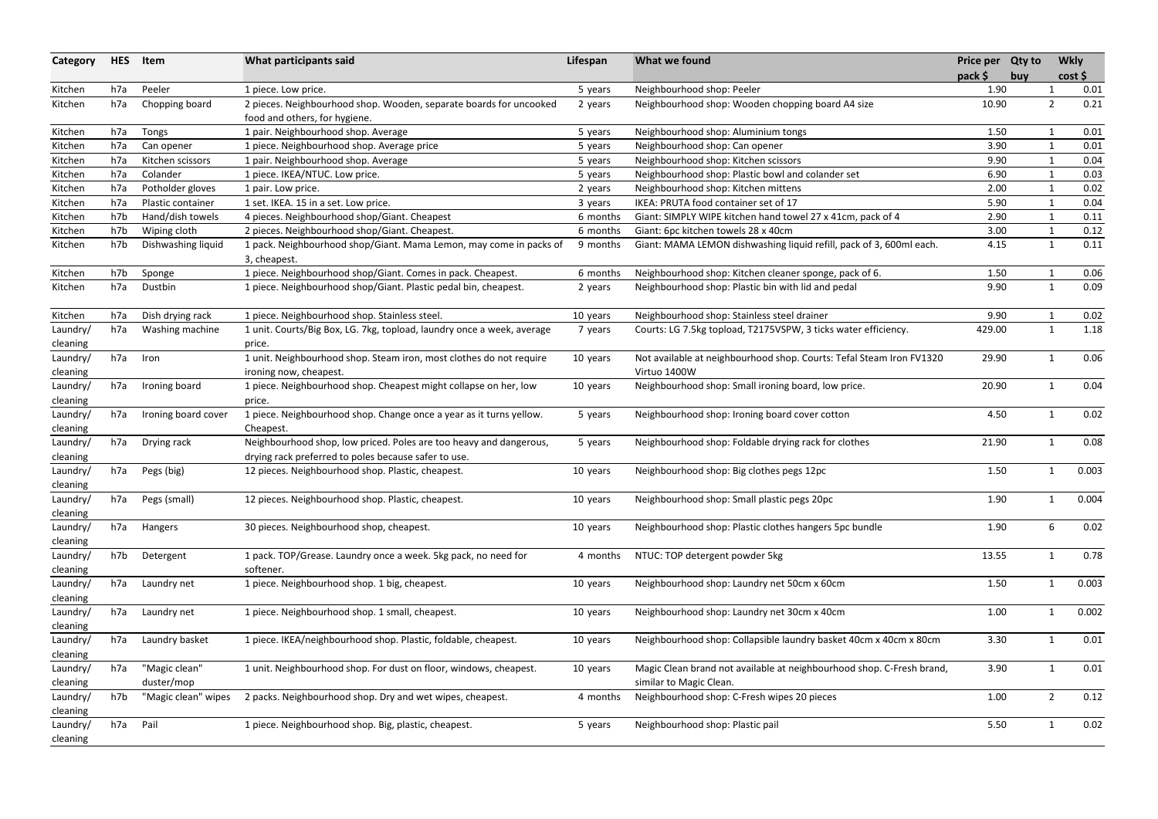| Category             | <b>HES</b> | Item                        | What participants said                                                                                                     | Lifespan | What we found                                                                                    | Price per Qty to  |     |                | <b>Wkly</b>  |
|----------------------|------------|-----------------------------|----------------------------------------------------------------------------------------------------------------------------|----------|--------------------------------------------------------------------------------------------------|-------------------|-----|----------------|--------------|
| Kitchen              | h7a        | Peeler                      | 1 piece. Low price.                                                                                                        | 5 years  | Neighbourhood shop: Peeler                                                                       | $pack$ \$<br>1.90 | buy |                | cost<br>0.01 |
| Kitchen              | h7a        | Chopping board              | 2 pieces. Neighbourhood shop. Wooden, separate boards for uncooked<br>food and others, for hygiene.                        | 2 years  | Neighbourhood shop: Wooden chopping board A4 size                                                | 10.90             |     | $\overline{2}$ | 0.21         |
| Kitchen              | h7a        | Tongs                       | 1 pair. Neighbourhood shop. Average                                                                                        | 5 years  | Neighbourhood shop: Aluminium tongs                                                              | 1.50              |     |                | 0.01         |
| Kitchen              | h7a        | Can opener                  | 1 piece. Neighbourhood shop. Average price                                                                                 | 5 years  | Neighbourhood shop: Can opener                                                                   | 3.90              |     | $\mathbf 1$    | 0.01         |
| Kitchen              | h7a        | Kitchen scissors            | 1 pair. Neighbourhood shop. Average                                                                                        | 5 years  | Neighbourhood shop: Kitchen scissors                                                             | 9.90              |     |                | 0.04         |
| Kitchen              | h7a        | Colander                    | 1 piece. IKEA/NTUC. Low price.                                                                                             | 5 years  | Neighbourhood shop: Plastic bowl and colander set                                                | 6.90              |     |                | 0.03         |
| Kitchen              | h7a        | Potholder gloves            | 1 pair. Low price.                                                                                                         | 2 years  | Neighbourhood shop: Kitchen mittens                                                              | 2.00              |     | $\mathbf{1}$   | 0.02         |
| Kitchen              | h7a        | Plastic container           | 1 set. IKEA. 15 in a set. Low price.                                                                                       | 3 years  | IKEA: PRUTA food container set of 17                                                             | 5.90              |     |                | 0.04         |
| Kitchen              | h7b        | Hand/dish towels            | 4 pieces. Neighbourhood shop/Giant. Cheapest                                                                               | 6 months | Giant: SIMPLY WIPE kitchen hand towel 27 x 41cm, pack of 4                                       | 2.90              |     | -1             | 0.11         |
| Kitchen              | h7b        | Wiping cloth                | 2 pieces. Neighbourhood shop/Giant. Cheapest.                                                                              | 6 months | Giant: 6pc kitchen towels 28 x 40cm                                                              | 3.00              |     | $\mathbf{1}$   | 0.12         |
| Kitchen              | h7b        | Dishwashing liquid          | 1 pack. Neighbourhood shop/Giant. Mama Lemon, may come in packs of<br>3, cheapest.                                         | 9 months | Giant: MAMA LEMON dishwashing liquid refill, pack of 3, 600ml each.                              | 4.15              |     | 1              | 0.11         |
| Kitchen              | h7b        | Sponge                      | 1 piece. Neighbourhood shop/Giant. Comes in pack. Cheapest.                                                                | 6 months | Neighbourhood shop: Kitchen cleaner sponge, pack of 6.                                           | 1.50              |     |                | 0.06         |
| Kitchen              | h7a        | Dustbin                     | 1 piece. Neighbourhood shop/Giant. Plastic pedal bin, cheapest.                                                            | 2 years  | Neighbourhood shop: Plastic bin with lid and pedal                                               | 9.90              |     | $\mathbf{1}$   | 0.09         |
| Kitchen              | h7a        | Dish drying rack            | 1 piece. Neighbourhood shop. Stainless steel.                                                                              | 10 years | Neighbourhood shop: Stainless steel drainer                                                      | 9.90              |     |                | 0.02         |
| Laundry/<br>cleaning | h7a        | Washing machine             | 1 unit. Courts/Big Box, LG. 7kg, topload, laundry once a week, average<br>price.                                           | 7 years  | Courts: LG 7.5kg topload, T2175VSPW, 3 ticks water efficiency.                                   | 429.00            |     | $\mathbf{1}$   | 1.18         |
| Laundry/<br>cleaning | h7a        | Iron                        | 1 unit. Neighbourhood shop. Steam iron, most clothes do not require<br>ironing now, cheapest.                              | 10 years | Not available at neighbourhood shop. Courts: Tefal Steam Iron FV1320<br>Virtuo 1400W             | 29.90             |     | -1             | 0.06         |
| Laundry/<br>cleaning | h7a        | Ironing board               | 1 piece. Neighbourhood shop. Cheapest might collapse on her, low<br>price.                                                 | 10 years | Neighbourhood shop: Small ironing board, low price.                                              | 20.90             |     | -1             | 0.04         |
| Laundry/<br>cleaning | h7a        | Ironing board cover         | 1 piece. Neighbourhood shop. Change once a year as it turns yellow.<br>Cheapest.                                           | 5 years  | Neighbourhood shop: Ironing board cover cotton                                                   | 4.50              |     | -1             | 0.02         |
| Laundry/<br>cleaning | h7a        | Drying rack                 | Neighbourhood shop, low priced. Poles are too heavy and dangerous,<br>drying rack preferred to poles because safer to use. | 5 years  | Neighbourhood shop: Foldable drying rack for clothes                                             | 21.90             |     | $\mathbf 1$    | 0.08         |
| Laundry/<br>cleaning | h7a        | Pegs (big)                  | 12 pieces. Neighbourhood shop. Plastic, cheapest.                                                                          | 10 years | Neighbourhood shop: Big clothes pegs 12pc                                                        | 1.50              |     | $\mathbf 1$    | 0.003        |
| Laundry/<br>cleaning | h7a        | Pegs (small)                | 12 pieces. Neighbourhood shop. Plastic, cheapest.                                                                          | 10 years | Neighbourhood shop: Small plastic pegs 20pc                                                      | 1.90              |     |                | 0.004        |
| Laundry/<br>cleaning | h7a        | Hangers                     | 30 pieces. Neighbourhood shop, cheapest.                                                                                   | 10 years | Neighbourhood shop: Plastic clothes hangers 5pc bundle                                           | 1.90              |     | 6              | 0.02         |
| Laundry/<br>cleaning | h7b        | Detergent                   | 1 pack. TOP/Grease. Laundry once a week. 5kg pack, no need for<br>softener.                                                | 4 months | NTUC: TOP detergent powder 5kg                                                                   | 13.55             |     | $\mathbf{1}$   | 0.78         |
| Laundry/<br>cleaning | h7a        | Laundry net                 | 1 piece. Neighbourhood shop. 1 big, cheapest.                                                                              | 10 years | Neighbourhood shop: Laundry net 50cm x 60cm                                                      | 1.50              |     | $\mathbf{1}$   | 0.003        |
| Laundry/<br>cleaning | h7a        | Laundry net                 | 1 piece. Neighbourhood shop. 1 small, cheapest.                                                                            | 10 years | Neighbourhood shop: Laundry net 30cm x 40cm                                                      | 1.00              |     |                | 0.002        |
| Laundry/<br>cleaning | h7a        | Laundry basket              | 1 piece. IKEA/neighbourhood shop. Plastic, foldable, cheapest.                                                             | 10 years | Neighbourhood shop: Collapsible laundry basket 40cm x 40cm x 80cm                                | 3.30              |     | $\mathbf 1$    | 0.01         |
| Laundry/<br>cleaning | h7a        | "Magic clean"<br>duster/mop | 1 unit. Neighbourhood shop. For dust on floor, windows, cheapest.                                                          | 10 years | Magic Clean brand not available at neighbourhood shop. C-Fresh brand,<br>similar to Magic Clean. | 3.90              |     | $\mathbf{1}$   | 0.01         |
| Laundry/<br>cleaning | h7b        | "Magic clean" wipes         | 2 packs. Neighbourhood shop. Dry and wet wipes, cheapest.                                                                  | 4 months | Neighbourhood shop: C-Fresh wipes 20 pieces                                                      | 1.00              |     | $\overline{2}$ | 0.12         |
| Laundry/<br>cleaning | h7a        | Pail                        | 1 piece. Neighbourhood shop. Big, plastic, cheapest.                                                                       | 5 years  | Neighbourhood shop: Plastic pail                                                                 | 5.50              |     |                | 0.02         |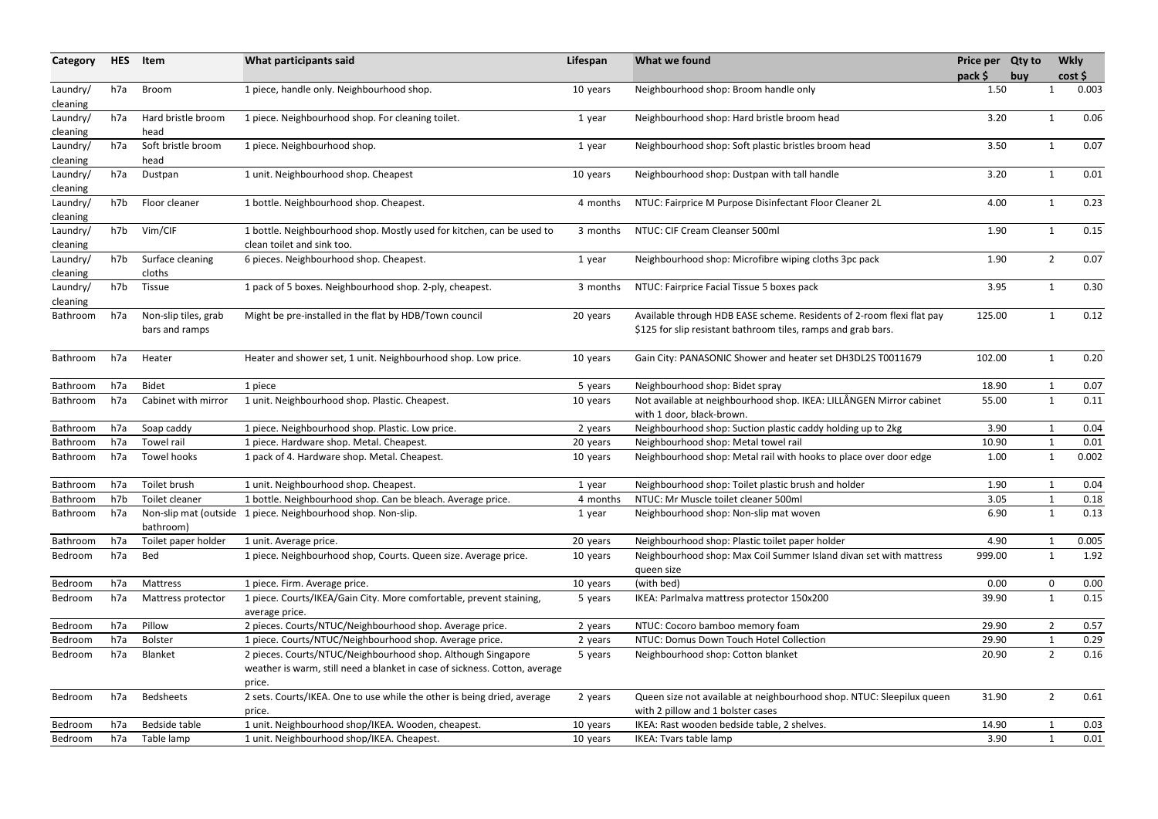| Category             | <b>HES</b> | Item                                   | What participants said                                                                                                                     | Lifespan | What we found                                                                                                                          | Price per Qty to<br>pack \$ | buy |                | <b>Wkly</b><br>cost |
|----------------------|------------|----------------------------------------|--------------------------------------------------------------------------------------------------------------------------------------------|----------|----------------------------------------------------------------------------------------------------------------------------------------|-----------------------------|-----|----------------|---------------------|
| Laundry/<br>cleaning | h7a        | Broom                                  | 1 piece, handle only. Neighbourhood shop.                                                                                                  | 10 years | Neighbourhood shop: Broom handle only                                                                                                  | 1.50                        |     | -1             | 0.003               |
| Laundry/             | h7a        | Hard bristle broom                     | 1 piece. Neighbourhood shop. For cleaning toilet.                                                                                          | 1 year   | Neighbourhood shop: Hard bristle broom head                                                                                            | 3.20                        |     | -1             | 0.06                |
| cleaning<br>Laundry/ | h7a        | head<br>Soft bristle broom             | 1 piece. Neighbourhood shop.                                                                                                               | 1 year   | Neighbourhood shop: Soft plastic bristles broom head                                                                                   | 3.50                        |     | $\mathbf 1$    | 0.07                |
| cleaning             |            | head                                   |                                                                                                                                            |          |                                                                                                                                        |                             |     |                |                     |
| Laundry/             | h7a        | Dustpan                                | 1 unit. Neighbourhood shop. Cheapest                                                                                                       | 10 years | Neighbourhood shop: Dustpan with tall handle                                                                                           | 3.20                        |     | -1             | 0.01                |
| cleaning             |            |                                        |                                                                                                                                            |          |                                                                                                                                        |                             |     |                |                     |
| Laundry/             | h7b        | Floor cleaner                          | 1 bottle. Neighbourhood shop. Cheapest.                                                                                                    | 4 months | NTUC: Fairprice M Purpose Disinfectant Floor Cleaner 2L                                                                                | 4.00                        |     | $\mathbf 1$    | 0.23                |
| cleaning             |            |                                        |                                                                                                                                            |          |                                                                                                                                        |                             |     |                |                     |
| Laundry/             | h7b        | Vim/CIF                                | 1 bottle. Neighbourhood shop. Mostly used for kitchen, can be used to                                                                      | 3 months | NTUC: CIF Cream Cleanser 500ml                                                                                                         | 1.90                        |     | -1             | 0.15                |
| cleaning             |            |                                        | clean toilet and sink too.                                                                                                                 |          |                                                                                                                                        |                             |     |                |                     |
| Laundry/             | h7b        | Surface cleaning                       | 6 pieces. Neighbourhood shop. Cheapest.                                                                                                    | 1 year   | Neighbourhood shop: Microfibre wiping cloths 3pc pack                                                                                  | 1.90                        |     | $\overline{2}$ | 0.07                |
| cleaning             |            | cloths                                 |                                                                                                                                            |          |                                                                                                                                        |                             |     |                |                     |
| Laundry/             | h7b        | <b>Tissue</b>                          | 1 pack of 5 boxes. Neighbourhood shop. 2-ply, cheapest.                                                                                    | 3 months | NTUC: Fairprice Facial Tissue 5 boxes pack                                                                                             | 3.95                        |     | $\mathbf{1}$   | 0.30                |
| cleaning             |            |                                        |                                                                                                                                            |          |                                                                                                                                        |                             |     |                |                     |
| Bathroom             | h7a        | Non-slip tiles, grab<br>bars and ramps | Might be pre-installed in the flat by HDB/Town council                                                                                     | 20 years | Available through HDB EASE scheme. Residents of 2-room flexi flat pay<br>\$125 for slip resistant bathroom tiles, ramps and grab bars. | 125.00                      |     |                | 0.12                |
| Bathroom             | h7a        | Heater                                 | Heater and shower set, 1 unit. Neighbourhood shop. Low price.                                                                              | 10 years | Gain City: PANASONIC Shower and heater set DH3DL2S T0011679                                                                            | 102.00                      |     |                | 0.20                |
| Bathroom             | h7a        | <b>Bidet</b>                           | 1 piece                                                                                                                                    | 5 years  | Neighbourhood shop: Bidet spray                                                                                                        | 18.90                       |     |                | 0.07                |
| Bathroom             | h7a        | Cabinet with mirror                    | 1 unit. Neighbourhood shop. Plastic. Cheapest.                                                                                             | 10 years | Not available at neighbourhood shop. IKEA: LILLÅNGEN Mirror cabinet                                                                    | 55.00                       |     | 1              | 0.11                |
|                      |            |                                        |                                                                                                                                            |          | with 1 door, black-brown.                                                                                                              |                             |     |                |                     |
| Bathroom             | h7a        | Soap caddy                             | 1 piece. Neighbourhood shop. Plastic. Low price.                                                                                           | 2 years  | Neighbourhood shop: Suction plastic caddy holding up to 2kg                                                                            | 3.90                        |     |                | 0.04                |
| Bathroom             | h7a        | Towel rail                             | 1 piece. Hardware shop. Metal. Cheapest.                                                                                                   | 20 years | Neighbourhood shop: Metal towel rail                                                                                                   | 10.90                       |     | $\mathbf 1$    | 0.01                |
| Bathroom             | h7a        | Towel hooks                            | 1 pack of 4. Hardware shop. Metal. Cheapest.                                                                                               | 10 years | Neighbourhood shop: Metal rail with hooks to place over door edge                                                                      | 1.00                        |     | -1             | 0.002               |
| Bathroom             | h7a        | Toilet brush                           | 1 unit. Neighbourhood shop. Cheapest.                                                                                                      | 1 year   | Neighbourhood shop: Toilet plastic brush and holder                                                                                    | 1.90                        |     |                | 0.04                |
| Bathroom             | h7b        | Toilet cleaner                         | 1 bottle. Neighbourhood shop. Can be bleach. Average price.                                                                                | 4 months | NTUC: Mr Muscle toilet cleaner 500ml                                                                                                   | 3.05                        |     |                | 0.18                |
| Bathroom             | h7a        |                                        | Non-slip mat (outside 1 piece. Neighbourhood shop. Non-slip.                                                                               | 1 year   | Neighbourhood shop: Non-slip mat woven                                                                                                 | 6.90                        |     | 1              | 0.13                |
|                      |            | bathroom)                              |                                                                                                                                            |          |                                                                                                                                        |                             |     |                |                     |
| Bathroom             | h7a        | Toilet paper holder                    | 1 unit. Average price.                                                                                                                     | 20 years | Neighbourhood shop: Plastic toilet paper holder                                                                                        | 4.90                        |     |                | 0.005               |
| Bedroom              | h7a        | Bed                                    | 1 piece. Neighbourhood shop, Courts. Queen size. Average price.                                                                            | 10 years | Neighbourhood shop: Max Coil Summer Island divan set with mattress<br>queen size                                                       | 999.00                      |     | $\mathbf 1$    | 1.92                |
| Bedroom              | h7a        | Mattress                               | 1 piece. Firm. Average price.                                                                                                              | 10 years | (with bed)                                                                                                                             | 0.00                        |     | $\mathbf 0$    | 0.00                |
| Bedroom              | h7a        | Mattress protector                     | 1 piece. Courts/IKEA/Gain City. More comfortable, prevent staining,<br>average price.                                                      | 5 years  | IKEA: Parlmalva mattress protector 150x200                                                                                             | 39.90                       |     | $\mathbf{1}$   | 0.15                |
| Bedroom              | h7a        | Pillow                                 | 2 pieces. Courts/NTUC/Neighbourhood shop. Average price.                                                                                   | 2 years  | NTUC: Cocoro bamboo memory foam                                                                                                        | 29.90                       |     |                | 0.57                |
| Bedroom              | h7a        | <b>Bolster</b>                         | 1 piece. Courts/NTUC/Neighbourhood shop. Average price.                                                                                    | 2 years  | NTUC: Domus Down Touch Hotel Collection                                                                                                | 29.90                       |     |                | 0.29                |
| Bedroom              | h7a        | Blanket                                | 2 pieces. Courts/NTUC/Neighbourhood shop. Although Singapore<br>weather is warm, still need a blanket in case of sickness. Cotton, average | 5 years  | Neighbourhood shop: Cotton blanket                                                                                                     | 20.90                       |     | $\overline{2}$ | 0.16                |
| Bedroom              | h7a        | <b>Bedsheets</b>                       | price.<br>2 sets. Courts/IKEA. One to use while the other is being dried, average<br>price.                                                | 2 years  | Queen size not available at neighbourhood shop. NTUC: Sleepilux queen<br>with 2 pillow and 1 bolster cases                             | 31.90                       |     | $\overline{2}$ | 0.61                |
| Bedroom              | h7a        | Bedside table                          | 1 unit. Neighbourhood shop/IKEA. Wooden, cheapest.                                                                                         | 10 years | IKEA: Rast wooden bedside table, 2 shelves.                                                                                            | 14.90                       |     |                | 0.03                |
| Bedroom              | h7a        | Table lamp                             | 1 unit. Neighbourhood shop/IKEA. Cheapest.                                                                                                 | 10 years | IKEA: Tvars table lamp                                                                                                                 | 3.90                        |     |                | 0.01                |
|                      |            |                                        |                                                                                                                                            |          |                                                                                                                                        |                             |     |                |                     |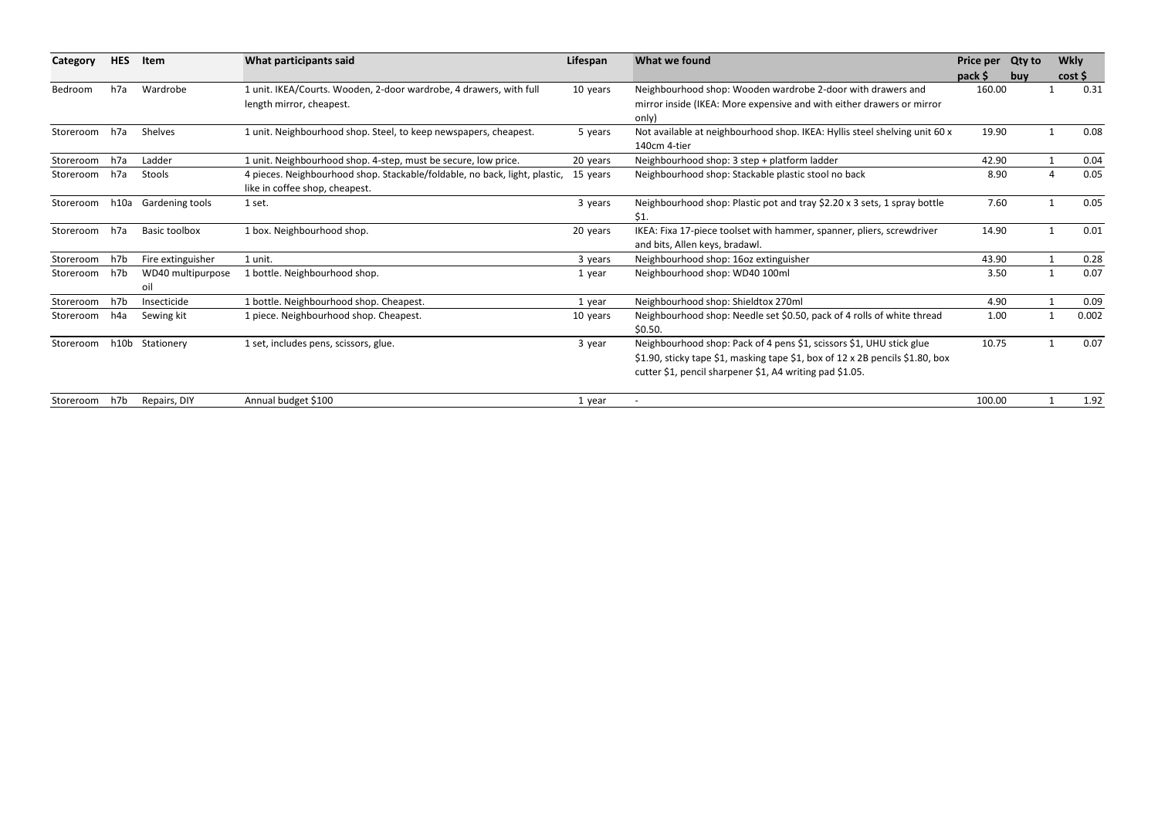| Category      | <b>HES</b> | Item                     | What participants said                                                                                       | Lifespan | What we found                                                                                                                                                                                                     | <b>Price per</b> | <b>Qty to</b> | <b>Wkly</b> |       |
|---------------|------------|--------------------------|--------------------------------------------------------------------------------------------------------------|----------|-------------------------------------------------------------------------------------------------------------------------------------------------------------------------------------------------------------------|------------------|---------------|-------------|-------|
|               |            |                          |                                                                                                              |          |                                                                                                                                                                                                                   | pack \$          | buy           | cost        |       |
| Bedroom       | h7a        | Wardrobe                 | 1 unit. IKEA/Courts. Wooden, 2-door wardrobe, 4 drawers, with full                                           | 10 years | Neighbourhood shop: Wooden wardrobe 2-door with drawers and                                                                                                                                                       | 160.00           |               |             | 0.31  |
|               |            |                          | length mirror, cheapest.                                                                                     |          | mirror inside (IKEA: More expensive and with either drawers or mirror<br>only)                                                                                                                                    |                  |               |             |       |
| Storeroom     | h7a        | Shelves                  | 1 unit. Neighbourhood shop. Steel, to keep newspapers, cheapest.                                             | 5 years  | Not available at neighbourhood shop. IKEA: Hyllis steel shelving unit 60 x<br>140cm 4-tier                                                                                                                        | 19.90            |               |             | 0.08  |
| Storeroom     | h7a        | Ladder                   | 1 unit. Neighbourhood shop. 4-step, must be secure, low price.                                               | 20 years | Neighbourhood shop: 3 step + platform ladder                                                                                                                                                                      | 42.90            |               |             | 0.04  |
| Storeroom h7a |            | Stools                   | 4 pieces. Neighbourhood shop. Stackable/foldable, no back, light, plastic,<br>like in coffee shop, cheapest. | 15 years | Neighbourhood shop: Stackable plastic stool no back                                                                                                                                                               | 8.90             |               |             | 0.05  |
| Storeroom     | h10a       | Gardening tools          | 1 set.                                                                                                       | 3 years  | Neighbourhood shop: Plastic pot and tray \$2.20 x 3 sets, 1 spray bottle<br>\$1.                                                                                                                                  | 7.60             |               |             | 0.05  |
| Storeroom h7a |            | <b>Basic toolbox</b>     | 1 box. Neighbourhood shop.                                                                                   | 20 years | IKEA: Fixa 17-piece toolset with hammer, spanner, pliers, screwdriver<br>and bits, Allen keys, bradawl.                                                                                                           | 14.90            |               |             | 0.01  |
| Storeroom     | h7b        | Fire extinguisher        | 1 unit.                                                                                                      | 3 years  | Neighbourhood shop: 16oz extinguisher                                                                                                                                                                             | 43.90            |               |             | 0.28  |
| Storeroom     | h7b        | WD40 multipurpose<br>oil | 1 bottle. Neighbourhood shop.                                                                                | 1 year   | Neighbourhood shop: WD40 100ml                                                                                                                                                                                    | 3.50             |               |             | 0.07  |
| Storeroom     | h7b        | Insecticide              | 1 bottle. Neighbourhood shop. Cheapest.                                                                      | 1 year   | Neighbourhood shop: Shieldtox 270ml                                                                                                                                                                               | 4.90             |               |             | 0.09  |
| Storeroom     | h4a        | Sewing kit               | 1 piece. Neighbourhood shop. Cheapest.                                                                       | 10 years | Neighbourhood shop: Needle set \$0.50, pack of 4 rolls of white thread<br>\$0.50.                                                                                                                                 | 1.00             |               |             | 0.002 |
| Storeroom     |            | h10b Stationery          | 1 set, includes pens, scissors, glue.                                                                        | 3 year   | Neighbourhood shop: Pack of 4 pens \$1, scissors \$1, UHU stick glue<br>\$1.90, sticky tape \$1, masking tape \$1, box of 12 x 2B pencils \$1.80, box<br>cutter \$1, pencil sharpener \$1, A4 writing pad \$1.05. | 10.75            |               |             | 0.07  |
| Storeroom h7b |            | Repairs, DIY             | Annual budget \$100                                                                                          | 1 year   |                                                                                                                                                                                                                   | 100.00           |               |             | 1.92  |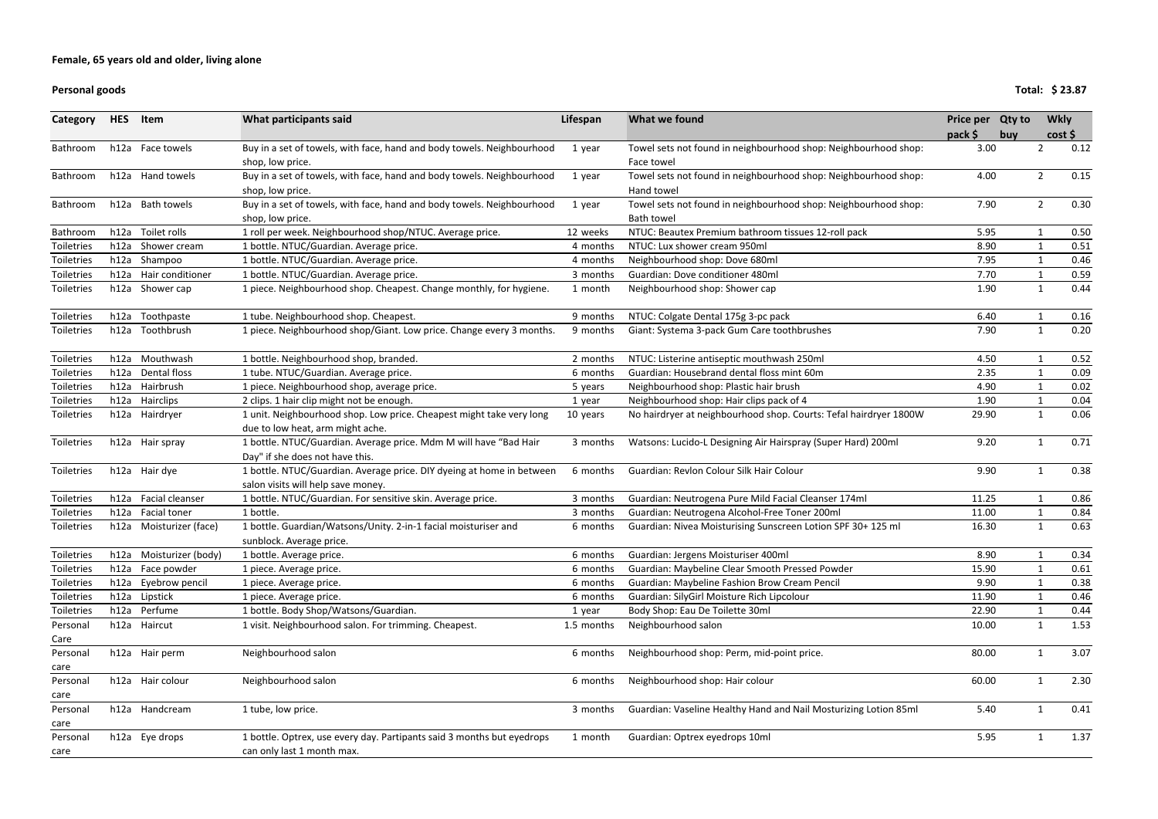#### **Personal**

**goods Total: \$ 23.87**

| Category          | <b>HES</b> | Item                    | What participants said                                                 | Lifespan   | What we found                                                     | Price per Qty to |                | <b>Wkly</b> |      |
|-------------------|------------|-------------------------|------------------------------------------------------------------------|------------|-------------------------------------------------------------------|------------------|----------------|-------------|------|
|                   |            |                         |                                                                        |            |                                                                   | pack \$<br>buy   |                | cost        |      |
| Bathroom          |            | h12a Face towels        | Buy in a set of towels, with face, hand and body towels. Neighbourhood | 1 year     | Towel sets not found in neighbourhood shop: Neighbourhood shop:   | 3.00             | $\overline{2}$ |             | 0.12 |
|                   |            |                         | shop, low price.                                                       |            | Face towel                                                        |                  |                |             |      |
| Bathroom          |            | h12a Hand towels        | Buy in a set of towels, with face, hand and body towels. Neighbourhood | 1 year     | Towel sets not found in neighbourhood shop: Neighbourhood shop:   | 4.00             | $\overline{2}$ |             | 0.15 |
|                   |            |                         | shop, low price.                                                       |            | Hand towel                                                        |                  |                |             |      |
| Bathroom          |            | h12a Bath towels        | Buy in a set of towels, with face, hand and body towels. Neighbourhood | 1 year     | Towel sets not found in neighbourhood shop: Neighbourhood shop:   | 7.90             | $\overline{2}$ |             | 0.30 |
|                   |            |                         | shop, low price.                                                       |            | <b>Bath towel</b>                                                 |                  |                |             |      |
| Bathroom          | h12a       | Toilet rolls            | 1 roll per week. Neighbourhood shop/NTUC. Average price.               | 12 weeks   | NTUC: Beautex Premium bathroom tissues 12-roll pack               | 5.95             |                |             | 0.50 |
| <b>Toiletries</b> | h12a       | Shower cream            | 1 bottle. NTUC/Guardian. Average price.                                | 4 months   | NTUC: Lux shower cream 950ml                                      | 8.90             | -1             |             | 0.51 |
| Toiletries        | h12a       | Shampoo                 | 1 bottle. NTUC/Guardian. Average price.                                | 4 months   | Neighbourhood shop: Dove 680ml                                    | 7.95             |                |             | 0.46 |
| <b>Toiletries</b> |            | h12a Hair conditioner   | 1 bottle. NTUC/Guardian. Average price.                                | 3 months   | Guardian: Dove conditioner 480ml                                  | 7.70             |                |             | 0.59 |
| Toiletries        |            | h12a Shower cap         | 1 piece. Neighbourhood shop. Cheapest. Change monthly, for hygiene.    | 1 month    | Neighbourhood shop: Shower cap                                    | 1.90             | $\mathbf{1}$   |             | 0.44 |
|                   |            |                         |                                                                        |            |                                                                   |                  |                |             |      |
| <b>Toiletries</b> |            | h12a Toothpaste         | 1 tube. Neighbourhood shop. Cheapest.                                  | 9 months   | NTUC: Colgate Dental 175g 3-pc pack                               | 6.40             | 1              |             | 0.16 |
| Toiletries        | h12a       | Toothbrush              | 1 piece. Neighbourhood shop/Giant. Low price. Change every 3 months.   | 9 months   | Giant: Systema 3-pack Gum Care toothbrushes                       | 7.90             | $\mathbf{1}$   |             | 0.20 |
|                   |            |                         |                                                                        |            |                                                                   |                  |                |             |      |
| Toiletries        |            | h12a Mouthwash          | 1 bottle. Neighbourhood shop, branded.                                 | 2 months   | NTUC: Listerine antiseptic mouthwash 250ml                        | 4.50             | -1             |             | 0.52 |
| Toiletries        |            | h12a Dental floss       | 1 tube. NTUC/Guardian. Average price.                                  | 6 months   | Guardian: Housebrand dental floss mint 60m                        | 2.35             |                |             | 0.09 |
| <b>Toiletries</b> |            | h12a Hairbrush          | 1 piece. Neighbourhood shop, average price.                            | 5 years    | Neighbourhood shop: Plastic hair brush                            | 4.90             | -1             |             | 0.02 |
| Toiletries        |            | h12a Hairclips          | 2 clips. 1 hair clip might not be enough.                              | 1 year     | Neighbourhood shop: Hair clips pack of 4                          | 1.90             |                |             | 0.04 |
| Toiletries        |            | h12a Hairdryer          | 1 unit. Neighbourhood shop. Low price. Cheapest might take very long   | 10 years   | No hairdryer at neighbourhood shop. Courts: Tefal hairdryer 1800W | 29.90            | 1              |             | 0.06 |
|                   |            |                         | due to low heat, arm might ache.                                       |            |                                                                   |                  |                |             |      |
| Toiletries        |            | h12a Hair spray         | 1 bottle. NTUC/Guardian. Average price. Mdm M will have "Bad Hair      | 3 months   | Watsons: Lucido-L Designing Air Hairspray (Super Hard) 200ml      | 9.20             | -1             |             | 0.71 |
|                   |            |                         | Day" if she does not have this.                                        |            |                                                                   |                  |                |             |      |
| Toiletries        |            | h12a Hair dye           | 1 bottle. NTUC/Guardian. Average price. DIY dyeing at home in between  | 6 months   | Guardian: Revlon Colour Silk Hair Colour                          | 9.90             | 1              |             | 0.38 |
|                   |            |                         | salon visits will help save money.                                     |            |                                                                   |                  |                |             |      |
| Toiletries        |            | h12a Facial cleanser    | 1 bottle. NTUC/Guardian. For sensitive skin. Average price.            | 3 months   | Guardian: Neutrogena Pure Mild Facial Cleanser 174ml              | 11.25            | $\mathbf{1}$   |             | 0.86 |
| Toiletries        | h12a       | <b>Facial toner</b>     | 1 bottle.                                                              | 3 months   | Guardian: Neutrogena Alcohol-Free Toner 200ml                     | 11.00            | 1              |             | 0.84 |
| Toiletries        | h12a       | Moisturizer (face)      | 1 bottle. Guardian/Watsons/Unity. 2-in-1 facial moisturiser and        | 6 months   | Guardian: Nivea Moisturising Sunscreen Lotion SPF 30+ 125 ml      | 16.30            | 1              |             | 0.63 |
|                   |            |                         | sunblock. Average price.                                               |            |                                                                   |                  |                |             |      |
| Toiletries        |            | h12a Moisturizer (body) | 1 bottle. Average price.                                               | 6 months   | Guardian: Jergens Moisturiser 400ml                               | 8.90             |                |             | 0.34 |
| <b>Toiletries</b> | h12a       | Face powder             | 1 piece. Average price.                                                | 6 months   | Guardian: Maybeline Clear Smooth Pressed Powder                   | 15.90            |                |             | 0.61 |
|                   | h12a       | Eyebrow pencil          |                                                                        |            | Guardian: Maybeline Fashion Brow Cream Pencil                     | 9.90             |                |             | 0.38 |
| Toiletries        | h12a       |                         | 1 piece. Average price.                                                | 6 months   |                                                                   | 11.90            |                |             |      |
| Toiletries        |            | Lipstick                | 1 piece. Average price.                                                | 6 months   | Guardian: SilyGirl Moisture Rich Lipcolour                        |                  |                |             | 0.46 |
| Toiletries        | h12a       | Perfume                 | 1 bottle. Body Shop/Watsons/Guardian.                                  | 1 year     | Body Shop: Eau De Toilette 30ml                                   | 22.90            |                |             | 0.44 |
| Personal          |            | h12a Haircut            | 1 visit. Neighbourhood salon. For trimming. Cheapest.                  | 1.5 months | Neighbourhood salon                                               | 10.00            | 1              |             | 1.53 |
| Care              |            |                         |                                                                        |            |                                                                   |                  |                |             |      |
| Personal          |            | h12a Hair perm          | Neighbourhood salon                                                    | 6 months   | Neighbourhood shop: Perm, mid-point price.                        | 80.00            | 1              |             | 3.07 |
| care              |            |                         |                                                                        |            |                                                                   |                  |                |             |      |
| Personal          |            | h12a Hair colour        | Neighbourhood salon                                                    | 6 months   | Neighbourhood shop: Hair colour                                   | 60.00            | 1              |             | 2.30 |
| care              |            |                         |                                                                        |            |                                                                   |                  |                |             |      |
| Personal          |            | h12a Handcream          | 1 tube, low price.                                                     | 3 months   | Guardian: Vaseline Healthy Hand and Nail Mosturizing Lotion 85ml  | 5.40             | 1              |             | 0.41 |
| care              |            |                         |                                                                        |            |                                                                   |                  |                |             |      |
| Personal          |            | h12a Eye drops          | 1 bottle. Optrex, use every day. Partipants said 3 months but eyedrops | 1 month    | Guardian: Optrex eyedrops 10ml                                    | 5.95             | -1             |             | 1.37 |
| care              |            |                         | can only last 1 month max.                                             |            |                                                                   |                  |                |             |      |

**pack \$ Qty to Wkly buy cost \$** rhood shop: 3.00 2 0.12 i rhood shop: 4.00 2 0.15 i rhood shop: 7.90 2 0.30 10 dryer 1800W 29.90 1 0.06 Designing Air Hairspray (Super Hard) 200ml 9.20 1 0.71 Colour Silk Hair Colour 9.90 1 0.38 a Moisturising Sunscreen Lotion SPF 30+ 125 ml 16.30 1 0.63 Optrex eyedrops 10ml 5.95 1 1.37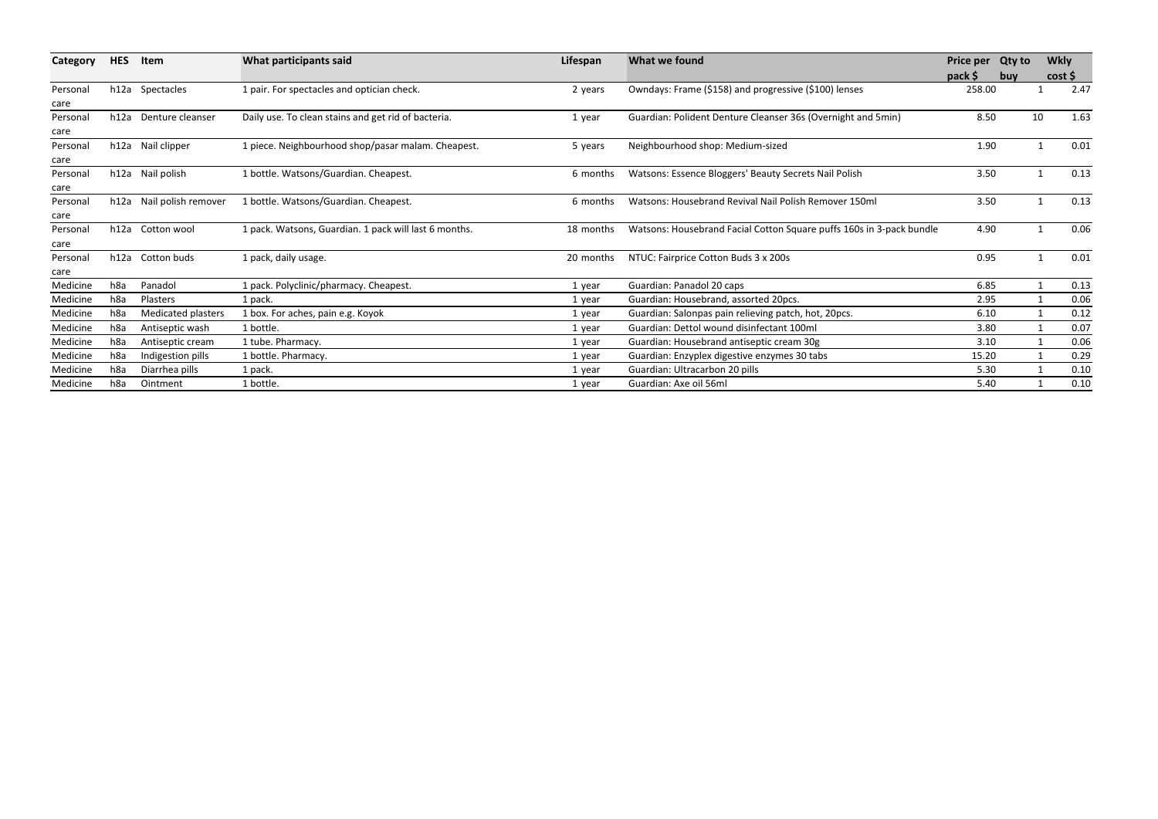| Category         | <b>HES</b> | Item                     | What participants said                                | Lifespan  | What we found                                                        | Price per Qty to<br>pack \$ | buy | <b>Wkly</b> | cost |
|------------------|------------|--------------------------|-------------------------------------------------------|-----------|----------------------------------------------------------------------|-----------------------------|-----|-------------|------|
| Personal<br>care |            | h12a Spectacles          | 1 pair. For spectacles and optician check.            | 2 years   | Owndays: Frame (\$158) and progressive (\$100) lenses                | 258.00                      |     |             | 2.47 |
| Personal<br>care |            | h12a Denture cleanser    | Daily use. To clean stains and get rid of bacteria.   | 1 year    | Guardian: Polident Denture Cleanser 36s (Overnight and 5min)         | 8.50                        |     | 10          | 1.63 |
| Personal<br>care |            | h12a Nail clipper        | 1 piece. Neighbourhood shop/pasar malam. Cheapest.    | 5 years   | Neighbourhood shop: Medium-sized                                     | 1.90                        |     |             | 0.01 |
| Personal<br>care |            | h12a Nail polish         | 1 bottle. Watsons/Guardian. Cheapest.                 | 6 months  | Watsons: Essence Bloggers' Beauty Secrets Nail Polish                | 3.50                        |     |             | 0.13 |
| Personal<br>care |            | h12a Nail polish remover | 1 bottle. Watsons/Guardian. Cheapest.                 | 6 months  | Watsons: Housebrand Revival Nail Polish Remover 150ml                | 3.50                        |     |             | 0.13 |
| Personal<br>care |            | h12a Cotton wool         | 1 pack. Watsons, Guardian. 1 pack will last 6 months. | 18 months | Watsons: Housebrand Facial Cotton Square puffs 160s in 3-pack bundle | 4.90                        |     |             | 0.06 |
| Personal<br>care |            | h12a Cotton buds         | 1 pack, daily usage.                                  | 20 months | NTUC: Fairprice Cotton Buds 3 x 200s                                 | 0.95                        |     |             | 0.01 |
| Medicine         | h8a        | Panadol                  | 1 pack. Polyclinic/pharmacy. Cheapest.                | 1 year    | Guardian: Panadol 20 caps                                            | 6.85                        |     |             | 0.13 |
| Medicine         | h8a        | Plasters                 | 1 pack.                                               | 1 year    | Guardian: Housebrand, assorted 20pcs.                                | 2.95                        |     |             | 0.06 |
| Medicine         | h8a        | Medicated plasters       | 1 box. For aches, pain e.g. Koyok                     | 1 year    | Guardian: Salonpas pain relieving patch, hot, 20pcs.                 | 6.10                        |     |             | 0.12 |
| Medicine         | h8a        | Antiseptic wash          | 1 bottle.                                             | 1 year    | Guardian: Dettol wound disinfectant 100ml                            | 3.80                        |     |             | 0.07 |
| Medicine         | h8a        | Antiseptic cream         | 1 tube. Pharmacy.                                     | 1 year    | Guardian: Housebrand antiseptic cream 30g                            | 3.10                        |     |             | 0.06 |
| Medicine         | h8a        | Indigestion pills        | 1 bottle. Pharmacy.                                   | 1 year    | Guardian: Enzyplex digestive enzymes 30 tabs                         | 15.20                       |     |             | 0.29 |
| Medicine         | h8a        | Diarrhea pills           | 1 pack.                                               | 1 year    | Guardian: Ultracarbon 20 pills                                       | 5.30                        |     |             | 0.10 |
| Medicine         | h8a        | Ointment                 | 1 bottle.                                             | 1 year    | Guardian: Axe oil 56ml                                               | 5.40                        |     |             | 0.10 |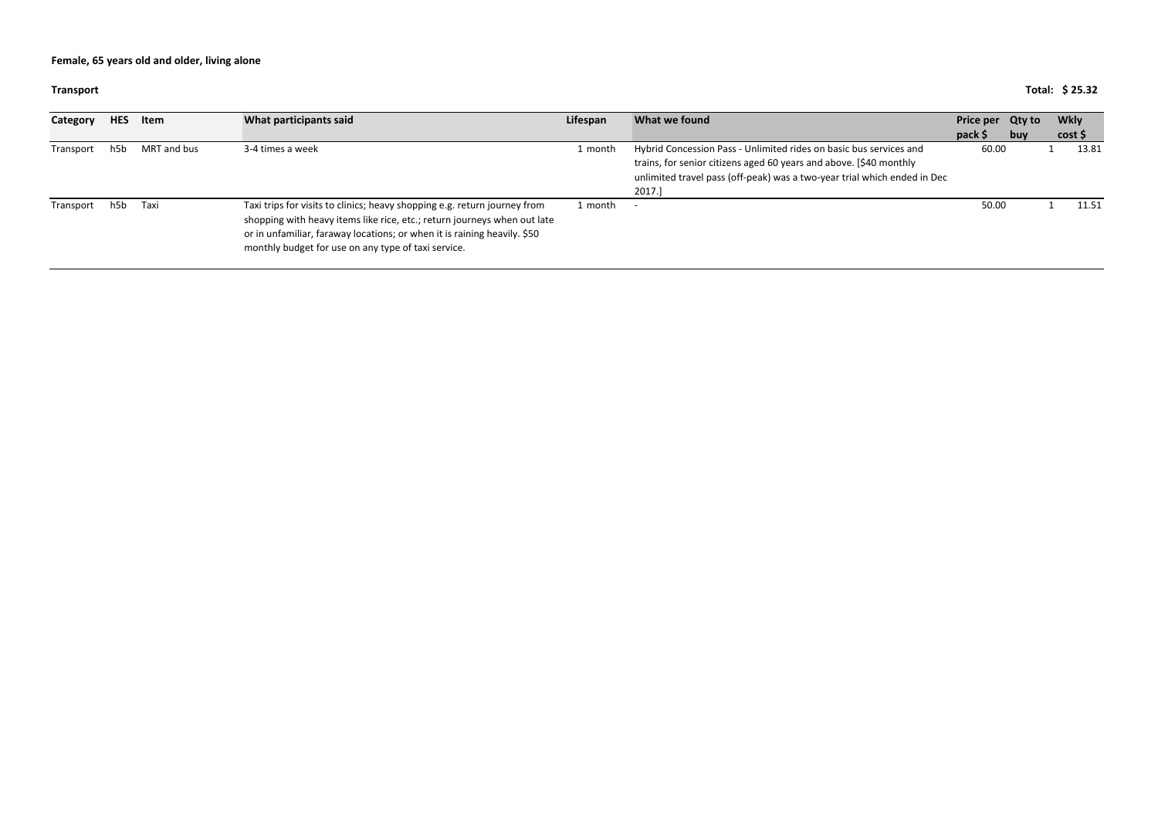**Transport**

## **Total: \$ 25.32**

| Category  | <b>HES</b> | Item        | What participants said                                                                                                                                                                                                                                                                   | Lifespan | What we found                                                                                                                                                                                                                  | Price per Qty to<br>pack \$ | buy | <b>Wkly</b><br>cost |
|-----------|------------|-------------|------------------------------------------------------------------------------------------------------------------------------------------------------------------------------------------------------------------------------------------------------------------------------------------|----------|--------------------------------------------------------------------------------------------------------------------------------------------------------------------------------------------------------------------------------|-----------------------------|-----|---------------------|
| Transport | h5b        | MRT and bus | 3-4 times a week                                                                                                                                                                                                                                                                         | 1 month  | Hybrid Concession Pass - Unlimited rides on basic bus services and<br>trains, for senior citizens aged 60 years and above. [\$40 monthly<br>unlimited travel pass (off-peak) was a two-year trial which ended in Dec<br>2017.] | 60.00                       |     | 13.81               |
| Transport | h5b        | Taxi        | Taxi trips for visits to clinics; heavy shopping e.g. return journey from<br>shopping with heavy items like rice, etc.; return journeys when out late<br>or in unfamiliar, faraway locations; or when it is raining heavily. \$50<br>monthly budget for use on any type of taxi service. | 1 month  |                                                                                                                                                                                                                                | 50.00                       |     | 11.51               |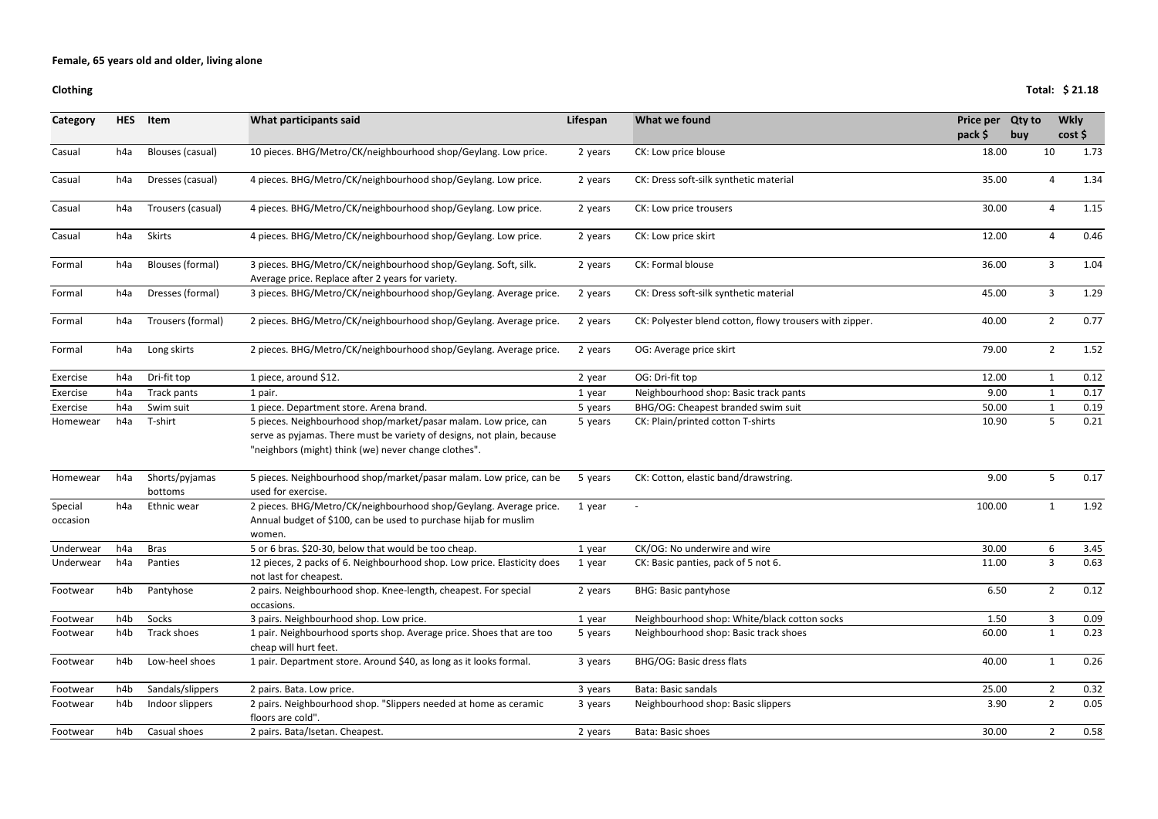### **Clothing**

| <b>Category</b>     | <b>HES</b>       | Item                      | What participants said                                                                                                                                                                            | Lifespan | What we found                                           | Price per | <b>Qty to</b> | <b>Wkly</b>    |      |
|---------------------|------------------|---------------------------|---------------------------------------------------------------------------------------------------------------------------------------------------------------------------------------------------|----------|---------------------------------------------------------|-----------|---------------|----------------|------|
|                     |                  |                           |                                                                                                                                                                                                   |          |                                                         | $pack$ \$ | buy           | cost           |      |
| Casual              | h4a              | Blouses (casual)          | 10 pieces. BHG/Metro/CK/neighbourhood shop/Geylang. Low price.                                                                                                                                    | 2 years  | CK: Low price blouse                                    | 18.00     |               | 10             | 1.73 |
| Casual              | h4a              | Dresses (casual)          | 4 pieces. BHG/Metro/CK/neighbourhood shop/Geylang. Low price.                                                                                                                                     | 2 years  | CK: Dress soft-silk synthetic material                  | 35.00     |               | 4              | 1.34 |
| Casual              | h4a              | Trousers (casual)         | 4 pieces. BHG/Metro/CK/neighbourhood shop/Geylang. Low price.                                                                                                                                     | 2 years  | CK: Low price trousers                                  | 30.00     |               | 4              | 1.15 |
| Casual              | h4a              | Skirts                    | 4 pieces. BHG/Metro/CK/neighbourhood shop/Geylang. Low price.                                                                                                                                     | 2 years  | CK: Low price skirt                                     | 12.00     |               | 4              | 0.46 |
| Formal              | h4a              | Blouses (formal)          | 3 pieces. BHG/Metro/CK/neighbourhood shop/Geylang. Soft, silk.<br>Average price. Replace after 2 years for variety.                                                                               | 2 years  | CK: Formal blouse                                       | 36.00     |               | $\mathbf{3}$   | 1.04 |
| Formal              | h4a              | Dresses (formal)          | 3 pieces. BHG/Metro/CK/neighbourhood shop/Geylang. Average price.                                                                                                                                 | 2 years  | CK: Dress soft-silk synthetic material                  | 45.00     |               | $\mathbf{3}$   | 1.29 |
| Formal              | h4a              | Trousers (formal)         | 2 pieces. BHG/Metro/CK/neighbourhood shop/Geylang. Average price.                                                                                                                                 | 2 years  | CK: Polyester blend cotton, flowy trousers with zipper. | 40.00     |               | $\overline{2}$ | 0.77 |
| Formal              | h4a              | Long skirts               | 2 pieces. BHG/Metro/CK/neighbourhood shop/Geylang. Average price.                                                                                                                                 | 2 years  | OG: Average price skirt                                 | 79.00     |               | $\overline{2}$ | 1.52 |
| Exercise            | h4a              | Dri-fit top               | 1 piece, around \$12.                                                                                                                                                                             | 2 year   | OG: Dri-fit top                                         | 12.00     |               | $\mathbf{1}$   | 0.12 |
| Exercise            | h <sub>4</sub> a | Track pants               | 1 pair.                                                                                                                                                                                           | 1 year   | Neighbourhood shop: Basic track pants                   | 9.00      |               | $\mathbf{1}$   | 0.17 |
| Exercise            | h4a              | Swim suit                 | 1 piece. Department store. Arena brand.                                                                                                                                                           | 5 years  | BHG/OG: Cheapest branded swim suit                      | 50.00     |               | 1              | 0.19 |
| Homewear            | h4a              | T-shirt                   | 5 pieces. Neighbourhood shop/market/pasar malam. Low price, can<br>serve as pyjamas. There must be variety of designs, not plain, because<br>"neighbors (might) think (we) never change clothes". | 5 years  | CK: Plain/printed cotton T-shirts                       | 10.90     |               | 5              | 0.21 |
| Homewear            | h <sub>4</sub> a | Shorts/pyjamas<br>bottoms | 5 pieces. Neighbourhood shop/market/pasar malam. Low price, can be<br>used for exercise.                                                                                                          | 5 years  | CK: Cotton, elastic band/drawstring.                    | 9.00      |               | 5              | 0.17 |
| Special<br>occasion | h4a              | Ethnic wear               | 2 pieces. BHG/Metro/CK/neighbourhood shop/Geylang. Average price.<br>Annual budget of \$100, can be used to purchase hijab for muslim<br>women.                                                   | 1 year   | $\overline{\phantom{a}}$                                | 100.00    |               | $\mathbf{1}$   | 1.92 |
| Underwear           | h4a              | <b>Bras</b>               | 5 or 6 bras. \$20-30, below that would be too cheap.                                                                                                                                              | 1 year   | CK/OG: No underwire and wire                            | 30.00     |               | 6              | 3.45 |
| Underwear           | h4a              | Panties                   | 12 pieces, 2 packs of 6. Neighbourhood shop. Low price. Elasticity does<br>not last for cheapest.                                                                                                 | 1 year   | CK: Basic panties, pack of 5 not 6.                     | 11.00     |               | $\mathbf{3}$   | 0.63 |
| Footwear            | h4b              | Pantyhose                 | 2 pairs. Neighbourhood shop. Knee-length, cheapest. For special<br>occasions.                                                                                                                     | 2 years  | <b>BHG: Basic pantyhose</b>                             | 6.50      |               | $\overline{2}$ | 0.12 |
| Footwear            | h4b              | Socks                     | 3 pairs. Neighbourhood shop. Low price.                                                                                                                                                           | 1 year   | Neighbourhood shop: White/black cotton socks            | 1.50      |               | $\mathbf{3}$   | 0.09 |
| Footwear            | h4b              | Track shoes               | 1 pair. Neighbourhood sports shop. Average price. Shoes that are too<br>cheap will hurt feet.                                                                                                     | 5 years  | Neighbourhood shop: Basic track shoes                   | 60.00     |               | $\mathbf{1}$   | 0.23 |
| Footwear            | h4b              | Low-heel shoes            | 1 pair. Department store. Around \$40, as long as it looks formal.                                                                                                                                | 3 years  | BHG/OG: Basic dress flats                               | 40.00     |               | 1              | 0.26 |
| Footwear            | h4b              | Sandals/slippers          | 2 pairs. Bata. Low price.                                                                                                                                                                         | 3 years  | Bata: Basic sandals                                     | 25.00     |               |                | 0.32 |
| Footwear            | h4b              | Indoor slippers           | 2 pairs. Neighbourhood shop. "Slippers needed at home as ceramic<br>floors are cold".                                                                                                             | 3 years  | Neighbourhood shop: Basic slippers                      | 3.90      |               | $2^{\circ}$    | 0.05 |
| Footwear            | h4b              | Casual shoes              | 2 pairs. Bata/Isetan. Cheapest.                                                                                                                                                                   | 2 years  | Bata: Basic shoes                                       | 30.00     |               | $\mathbf{2}$   | 0.58 |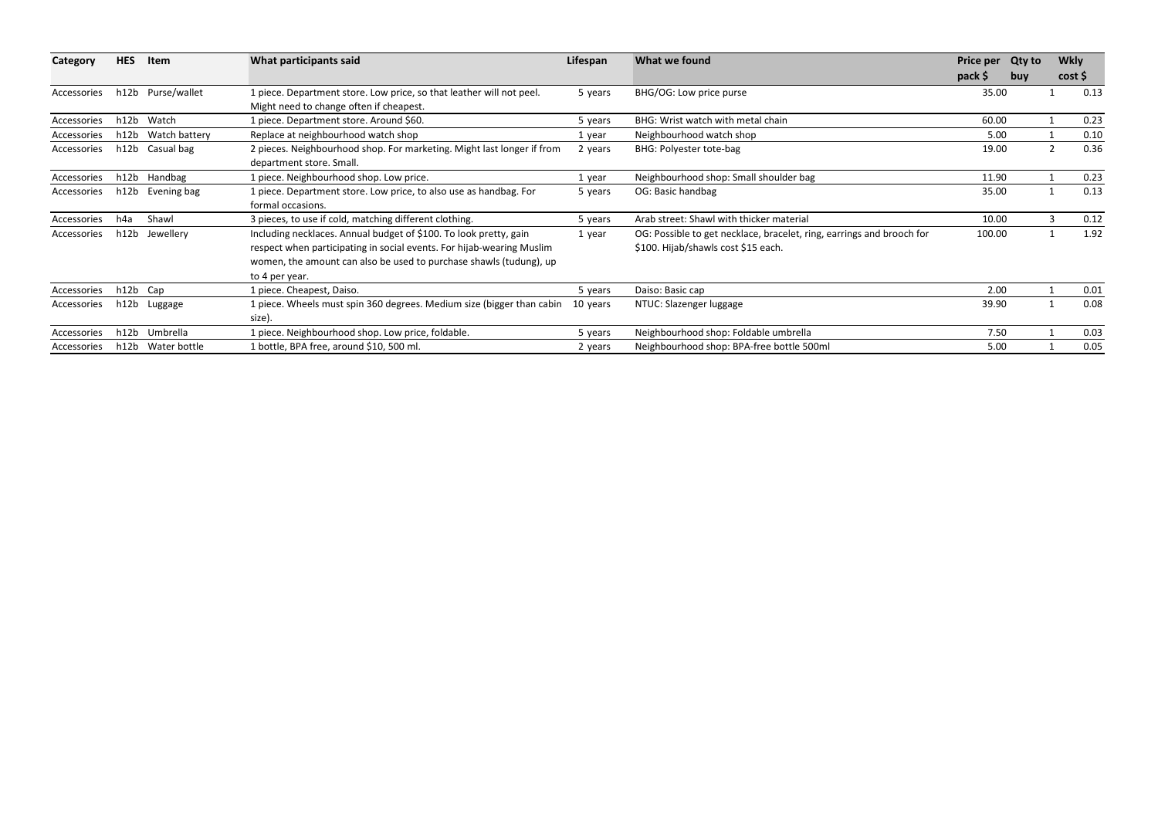| Category    | <b>HES</b> | Item              | What participants said                                                                                                                                                                                                             | Lifespan | What we found                                                                                                | <b>Price per</b><br>pack \$ | <b>Qty to</b><br>buy | <b>Wkly</b><br>cost |      |
|-------------|------------|-------------------|------------------------------------------------------------------------------------------------------------------------------------------------------------------------------------------------------------------------------------|----------|--------------------------------------------------------------------------------------------------------------|-----------------------------|----------------------|---------------------|------|
| Accessories |            | h12b Purse/wallet | 1 piece. Department store. Low price, so that leather will not peel.<br>Might need to change often if cheapest.                                                                                                                    | 5 years  | BHG/OG: Low price purse                                                                                      | 35.00                       |                      |                     | 0.13 |
| Accessories | h12b       | Watch             | 1 piece. Department store. Around \$60.                                                                                                                                                                                            | 5 years  | BHG: Wrist watch with metal chain                                                                            | 60.00                       |                      |                     | 0.23 |
| Accessories | h12b       | Watch battery     | Replace at neighbourhood watch shop                                                                                                                                                                                                | 1 year   | Neighbourhood watch shop                                                                                     | 5.00                        |                      |                     | 0.10 |
| Accessories |            | h12b Casual bag   | 2 pieces. Neighbourhood shop. For marketing. Might last longer if from<br>department store. Small.                                                                                                                                 | 2 years  | BHG: Polyester tote-bag                                                                                      | 19.00                       |                      | 2                   | 0.36 |
| Accessories |            | h12b Handbag      | 1 piece. Neighbourhood shop. Low price.                                                                                                                                                                                            | 1 year   | Neighbourhood shop: Small shoulder bag                                                                       | 11.90                       |                      |                     | 0.23 |
| Accessories | h12b       | Evening bag       | 1 piece. Department store. Low price, to also use as handbag. For<br>formal occasions.                                                                                                                                             | 5 years  | OG: Basic handbag                                                                                            | 35.00                       |                      |                     | 0.13 |
| Accessories | h4a        | Shawl             | 3 pieces, to use if cold, matching different clothing.                                                                                                                                                                             | 5 years  | Arab street: Shawl with thicker material                                                                     | 10.00                       |                      |                     | 0.12 |
| Accessories | h12b       | Jewellery         | Including necklaces. Annual budget of \$100. To look pretty, gain<br>respect when participating in social events. For hijab-wearing Muslim<br>women, the amount can also be used to purchase shawls (tudung), up<br>to 4 per year. | 1 year   | OG: Possible to get necklace, bracelet, ring, earrings and brooch for<br>\$100. Hijab/shawls cost \$15 each. | 100.00                      |                      |                     | 1.92 |
| Accessories | h12b Cap   |                   | 1 piece. Cheapest, Daiso.                                                                                                                                                                                                          | 5 years  | Daiso: Basic cap                                                                                             | 2.00                        |                      |                     | 0.01 |
| Accessories | h12b       | Luggage           | 1 piece. Wheels must spin 360 degrees. Medium size (bigger than cabin<br>size).                                                                                                                                                    | 10 years | NTUC: Slazenger luggage                                                                                      | 39.90                       |                      |                     | 0.08 |
| Accessories |            | h12b Umbrella     | 1 piece. Neighbourhood shop. Low price, foldable.                                                                                                                                                                                  | 5 years  | Neighbourhood shop: Foldable umbrella                                                                        | 7.50                        |                      |                     | 0.03 |
| Accessories | h12b       | Water bottle      | 1 bottle, BPA free, around \$10, 500 ml.                                                                                                                                                                                           | 2 years  | Neighbourhood shop: BPA-free bottle 500ml                                                                    | 5.00                        |                      |                     | 0.05 |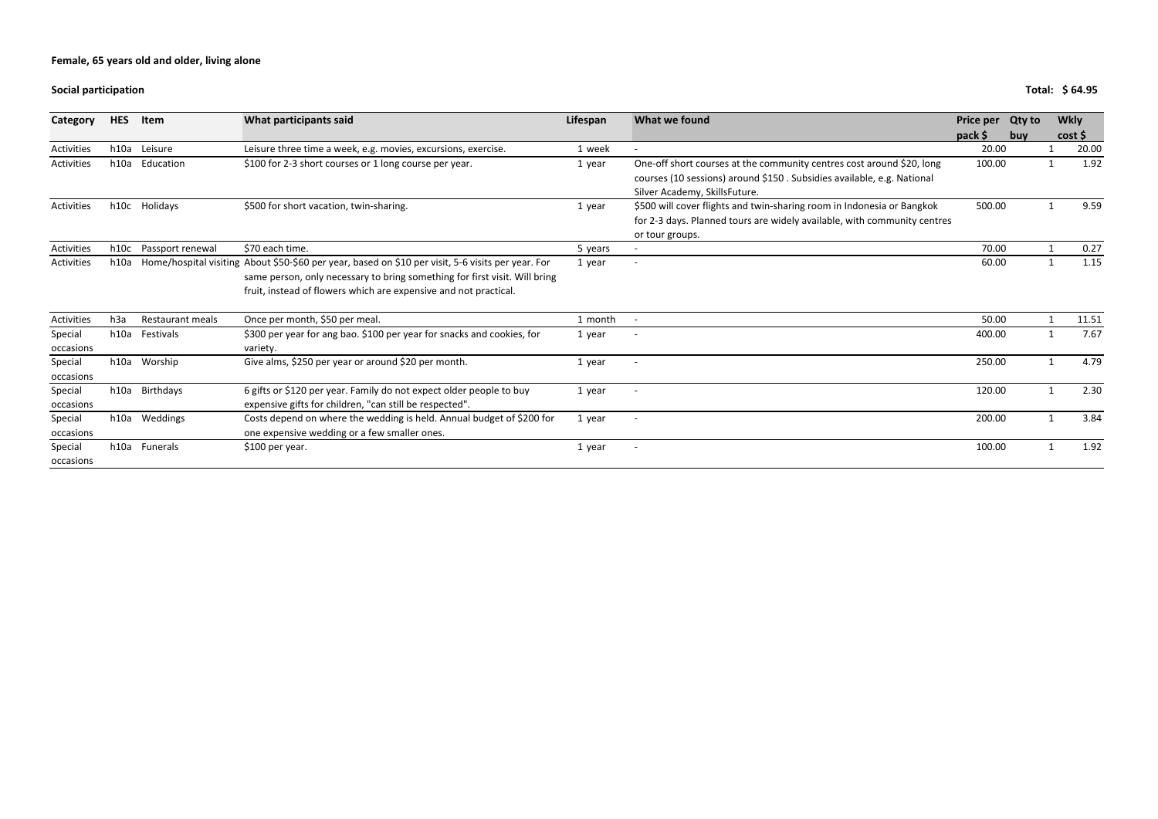**Social**

| Category   | <b>HES</b>       | Item             | What participants said                                                                             | Lifespan | What we found                                                            | Price per | <b>Qty to</b> | <b>Wkly</b> |
|------------|------------------|------------------|----------------------------------------------------------------------------------------------------|----------|--------------------------------------------------------------------------|-----------|---------------|-------------|
|            |                  |                  |                                                                                                    |          |                                                                          | pack \$   | buy           | cost        |
| Activities | h10a             | Leisure          | Leisure three time a week, e.g. movies, excursions, exercise.                                      | 1 week   | $\blacksquare$                                                           | 20.00     |               | 20.00       |
| Activities | h10a             | Education        | \$100 for 2-3 short courses or 1 long course per year.                                             | 1 year   | One-off short courses at the community centres cost around \$20, long    | 100.00    |               | 1.92        |
|            |                  |                  |                                                                                                    |          | courses (10 sessions) around \$150. Subsidies available, e.g. National   |           |               |             |
|            |                  |                  |                                                                                                    |          | Silver Academy, SkillsFuture.                                            |           |               |             |
| Activities | h10c             | Holidays         | \$500 for short vacation, twin-sharing.                                                            | 1 year   | \$500 will cover flights and twin-sharing room in Indonesia or Bangkok   | 500.00    |               | 9.59        |
|            |                  |                  |                                                                                                    |          | for 2-3 days. Planned tours are widely available, with community centres |           |               |             |
|            |                  |                  |                                                                                                    |          | or tour groups.                                                          |           |               |             |
| Activities | h10c             | Passport renewal | \$70 each time.                                                                                    | 5 years  | $\overline{\phantom{a}}$                                                 | 70.00     |               | 0.27        |
| Activities | h10a             |                  | Home/hospital visiting About \$50-\$60 per year, based on \$10 per visit, 5-6 visits per year. For | 1 year   | $\overline{\phantom{a}}$                                                 | 60.00     |               | 1.15        |
|            |                  |                  | same person, only necessary to bring something for first visit. Will bring                         |          |                                                                          |           |               |             |
|            |                  |                  | fruit, instead of flowers which are expensive and not practical.                                   |          |                                                                          |           |               |             |
| Activities | h <sub>3</sub> a | Restaurant meals | Once per month, \$50 per meal.                                                                     | 1 month  |                                                                          | 50.00     |               | 11.51       |
| Special    | h10a             | Festivals        | \$300 per year for ang bao. \$100 per year for snacks and cookies, for                             | 1 year   |                                                                          | 400.00    |               | 7.67        |
| occasions  |                  |                  | variety.                                                                                           |          |                                                                          |           |               |             |
| Special    |                  | h10a Worship     | Give alms, \$250 per year or around \$20 per month.                                                | 1 year   | $\overline{a}$                                                           | 250.00    |               | 4.79        |
| occasions  |                  |                  |                                                                                                    |          |                                                                          |           |               |             |
| Special    |                  | h10a Birthdays   | 6 gifts or \$120 per year. Family do not expect older people to buy                                | 1 year   | $\overline{\phantom{a}}$                                                 | 120.00    |               | 2.30        |
| occasions  |                  |                  | expensive gifts for children, "can still be respected".                                            |          |                                                                          |           |               |             |
| Special    |                  | h10a Weddings    | Costs depend on where the wedding is held. Annual budget of \$200 for                              | 1 year   | $\overline{a}$                                                           | 200.00    |               | 3.84        |
| occasions  |                  |                  | one expensive wedding or a few smaller ones.                                                       |          |                                                                          |           |               |             |
| Special    |                  | h10a Funerals    | \$100 per year.                                                                                    | 1 year   | $\overline{\phantom{a}}$                                                 | 100.00    |               | 1.92        |
| occasions  |                  |                  |                                                                                                    |          |                                                                          |           |               |             |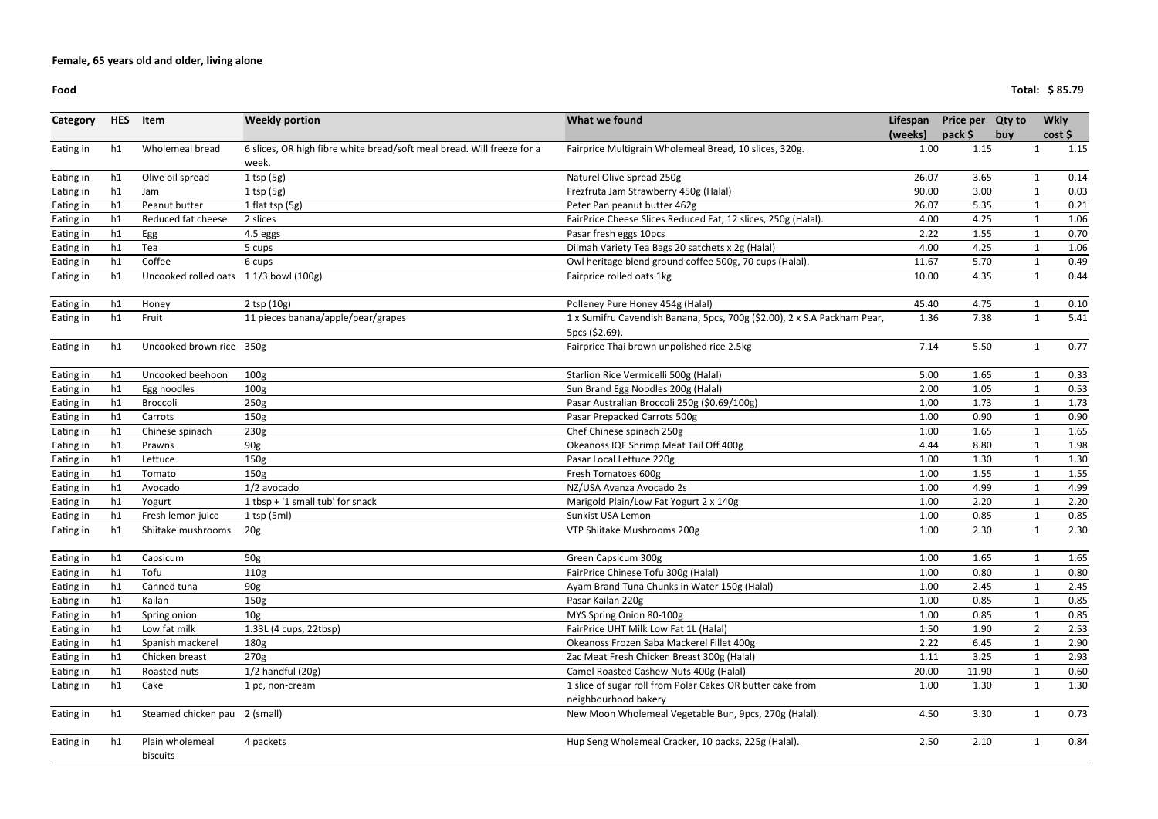| Category  | <b>HES</b> | Item                                  | <b>Weekly portion</b>                                                           | What we found                                                                              | Lifespan | <b>Price per</b> | <b>Qty to</b> | <b>Wkly</b>    |      |
|-----------|------------|---------------------------------------|---------------------------------------------------------------------------------|--------------------------------------------------------------------------------------------|----------|------------------|---------------|----------------|------|
|           |            |                                       |                                                                                 |                                                                                            | (weeks)  | $pack$ \$        | buy           | cost           |      |
| Eating in | h1         | Wholemeal bread                       | 6 slices, OR high fibre white bread/soft meal bread. Will freeze for a<br>week. | Fairprice Multigrain Wholemeal Bread, 10 slices, 320g.                                     | 1.00     | 1.15             |               | -1             | 1.15 |
| Eating in | h1         | Olive oil spread                      | $1$ tsp (5g)                                                                    | Naturel Olive Spread 250g                                                                  | 26.07    | 3.65             |               |                | 0.14 |
| Eating in | h1         | Jam                                   | $1$ tsp (5g)                                                                    | Frezfruta Jam Strawberry 450g (Halal)                                                      | 90.00    | 3.00             |               |                | 0.03 |
| Eating in | h1         | Peanut butter                         | 1 flat tsp (5g)                                                                 | Peter Pan peanut butter 462g                                                               | 26.07    | 5.35             |               |                | 0.21 |
| Eating in | h1         | Reduced fat cheese                    | 2 slices                                                                        | FairPrice Cheese Slices Reduced Fat, 12 slices, 250g (Halal).                              | 4.00     | 4.25             |               |                | 1.06 |
| Eating in | h1         | Egg                                   | 4.5 eggs                                                                        | Pasar fresh eggs 10pcs                                                                     | 2.22     | 1.55             |               |                | 0.70 |
| Eating in | h1         | Tea                                   | 5 cups                                                                          | Dilmah Variety Tea Bags 20 satchets x 2g (Halal)                                           | 4.00     | 4.25             |               |                | 1.06 |
| Eating in | h1         | Coffee                                | 6 cups                                                                          | Owl heritage blend ground coffee 500g, 70 cups (Halal).                                    | 11.67    | 5.70             |               |                | 0.49 |
| Eating in | h1         | Uncooked rolled oats 11/3 bowl (100g) |                                                                                 | Fairprice rolled oats 1kg                                                                  | 10.00    | 4.35             |               | 1              | 0.44 |
| Eating in | h1         | Honey                                 | $2$ tsp $(10g)$                                                                 | Polleney Pure Honey 454g (Halal)                                                           | 45.40    | 4.75             |               |                | 0.10 |
| Eating in | h1         | Fruit                                 | 11 pieces banana/apple/pear/grapes                                              | 1 x Sumifru Cavendish Banana, 5pcs, 700g (\$2.00), 2 x S.A Packham Pear,<br>5pcs (\$2.69). | 1.36     | 7.38             |               | $\mathbf{1}$   | 5.41 |
| Eating in | h1         | Uncooked brown rice 350g              |                                                                                 | Fairprice Thai brown unpolished rice 2.5kg                                                 | 7.14     | 5.50             |               | $\mathbf 1$    | 0.77 |
| Eating in | h1         | Uncooked beehoon                      | 100 <sub>g</sub>                                                                | Starlion Rice Vermicelli 500g (Halal)                                                      | 5.00     | 1.65             |               |                | 0.33 |
| Eating in | h1         | Egg noodles                           | 100 <sub>g</sub>                                                                | Sun Brand Egg Noodles 200g (Halal)                                                         | 2.00     | 1.05             |               |                | 0.53 |
| Eating in | h1         | Broccoli                              | 250g                                                                            | Pasar Australian Broccoli 250g (\$0.69/100g)                                               | 1.00     | 1.73             |               |                | 1.73 |
| Eating in | h1         | Carrots                               | 150 <sub>g</sub>                                                                | Pasar Prepacked Carrots 500g                                                               | 1.00     | 0.90             |               |                | 0.90 |
| Eating in | h1         | Chinese spinach                       | 230g                                                                            | Chef Chinese spinach 250g                                                                  | 1.00     | 1.65             |               |                | 1.65 |
| Eating in | h1         | Prawns                                | 90g                                                                             | Okeanoss IQF Shrimp Meat Tail Off 400g                                                     | 4.44     | 8.80             |               |                | 1.98 |
| Eating in | h1         | Lettuce                               | 150 <sub>g</sub>                                                                | Pasar Local Lettuce 220g                                                                   | 1.00     | 1.30             |               |                | 1.30 |
| Eating in | h1         | Tomato                                | 150 <sub>g</sub>                                                                | Fresh Tomatoes 600g                                                                        | 1.00     | 1.55             |               |                | 1.55 |
| Eating in | h1         | Avocado                               | 1/2 avocado                                                                     | NZ/USA Avanza Avocado 2s                                                                   | 1.00     | 4.99             |               |                | 4.99 |
| Eating in | h1         | Yogurt                                | 1 tbsp + '1 small tub' for snack                                                | Marigold Plain/Low Fat Yogurt 2 x 140g                                                     | 1.00     | 2.20             |               |                | 2.20 |
| Eating in | h1         | Fresh lemon juice                     | $1$ tsp (5ml)                                                                   | Sunkist USA Lemon                                                                          | 1.00     | 0.85             |               |                | 0.85 |
| Eating in | h1         | Shiitake mushrooms                    | 20 <sub>g</sub>                                                                 | VTP Shiitake Mushrooms 200g                                                                | 1.00     | 2.30             |               |                | 2.30 |
| Eating in | h1         | Capsicum                              | 50g                                                                             | Green Capsicum 300g                                                                        | 1.00     | 1.65             |               |                | 1.65 |
| Eating in | h1         | Tofu                                  | 110g                                                                            | FairPrice Chinese Tofu 300g (Halal)                                                        | 1.00     | 0.80             |               |                | 0.80 |
| Eating in | h1         | Canned tuna                           | 90g                                                                             | Ayam Brand Tuna Chunks in Water 150g (Halal)                                               | 1.00     | 2.45             |               |                | 2.45 |
| Eating in | h1         | Kailan                                | 150 <sub>g</sub>                                                                | Pasar Kailan 220g                                                                          | 1.00     | 0.85             |               |                | 0.85 |
| Eating in | h1         | Spring onion                          | 10 <sub>g</sub>                                                                 | MYS Spring Onion 80-100g                                                                   | 1.00     | 0.85             |               |                | 0.85 |
| Eating in | h1         | Low fat milk                          | 1.33L (4 cups, 22tbsp)                                                          | FairPrice UHT Milk Low Fat 1L (Halal)                                                      | 1.50     | 1.90             |               | $\overline{2}$ | 2.53 |
| Eating in | h1         | Spanish mackerel                      | 180g                                                                            | Okeanoss Frozen Saba Mackerel Fillet 400g                                                  | 2.22     | 6.45             |               |                | 2.90 |
| Eating in | h1         | Chicken breast                        | 270g                                                                            | Zac Meat Fresh Chicken Breast 300g (Halal)                                                 | 1.11     | 3.25             |               |                | 2.93 |
| Eating in | h1         | Roasted nuts                          | $1/2$ handful $(20g)$                                                           | Camel Roasted Cashew Nuts 400g (Halal)                                                     | 20.00    | 11.90            |               |                | 0.60 |
| Eating in | h1         | Cake                                  | 1 pc, non-cream                                                                 | 1 slice of sugar roll from Polar Cakes OR butter cake from<br>neighbourhood bakery         | 1.00     | 1.30             |               | $\mathbf{1}$   | 1.30 |
| Eating in | h1         | Steamed chicken pau 2 (small)         |                                                                                 | New Moon Wholemeal Vegetable Bun, 9pcs, 270g (Halal).                                      | 4.50     | 3.30             |               |                | 0.73 |
| Eating in | h1         | Plain wholemeal<br>biscuits           | 4 packets                                                                       | Hup Seng Wholemeal Cracker, 10 packs, 225g (Halal).                                        | 2.50     | 2.10             |               |                | 0.84 |

**(weeks)pack \$**1.00 **Price per Qty to**  1.15 **buyWkly cost \$**1.15  $0.03$  $0.21$  $\boxed{1.06}$  $0.70$ 1.06  $0.49$  $0.44$  $\frac{1}{5.41}$ 1.36 7.38 1 5.50 1 0.77  $0.53$  $1.73$  $0.90$  $1.65$ 1.98  $1.30$  $\frac{1.55}{ }$ 4.99  $0.85$  $0.80$  $2.45$  $0.85$  $0.85$  $2.53$  $2.90$  2.93  $1.30$ 1.00 1.30 1

**Food**

**Total: \$ 85.79**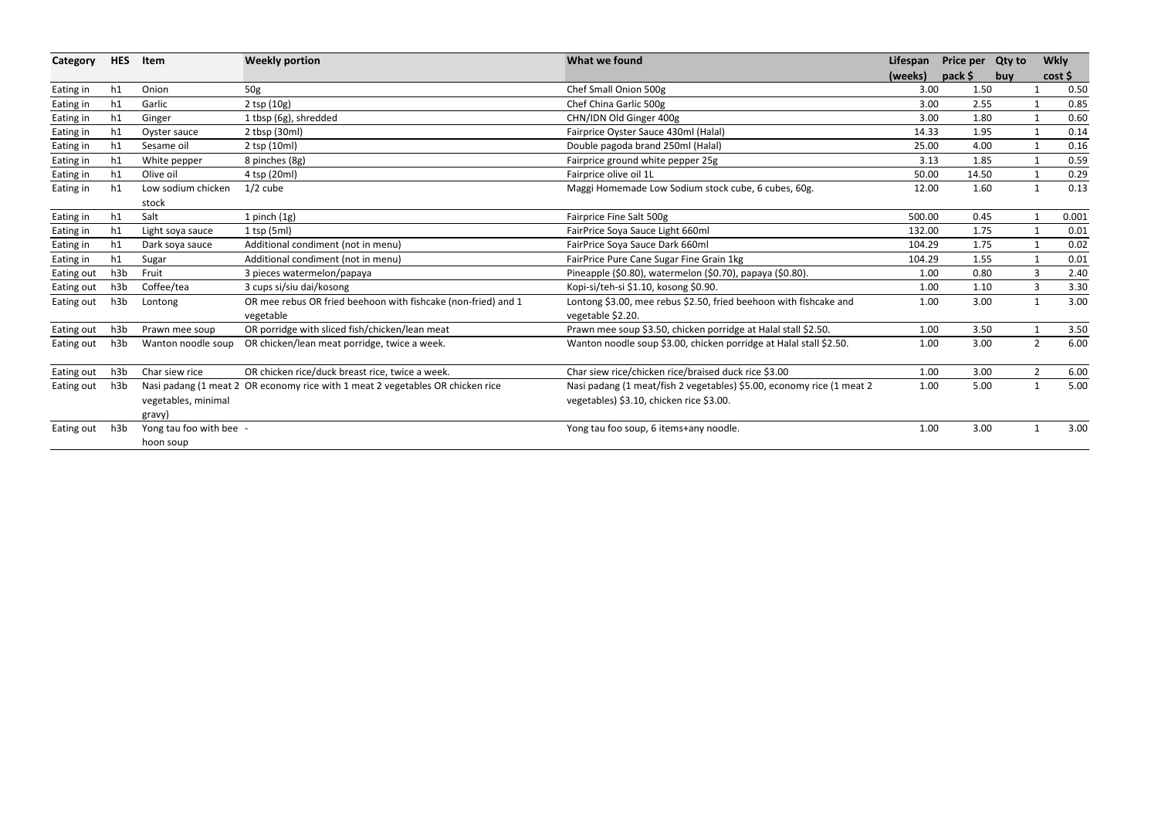| Category   | <b>HES</b> | Item                                 | <b>Weekly portion</b>                                                          | What we found                                                                                                     | Lifespan | Price per Qty to |     | <b>Wkly</b>    |       |
|------------|------------|--------------------------------------|--------------------------------------------------------------------------------|-------------------------------------------------------------------------------------------------------------------|----------|------------------|-----|----------------|-------|
|            |            |                                      |                                                                                |                                                                                                                   | (weeks)  | pack \$          | buy | cost           |       |
| Eating in  | h1         | Onion                                | 50g                                                                            | Chef Small Onion 500g                                                                                             | 3.00     | 1.50             |     |                | 0.50  |
| Eating in  | h1         | Garlic                               | $2$ tsp $(10g)$                                                                | Chef China Garlic 500g                                                                                            | 3.00     | 2.55             |     |                | 0.85  |
| Eating in  | h1         | Ginger                               | 1 tbsp (6g), shredded                                                          | CHN/IDN Old Ginger 400g                                                                                           | 3.00     | 1.80             |     | $\mathbf{1}$   | 0.60  |
| Eating in  | h1         | Oyster sauce                         | 2 tbsp (30ml)                                                                  | Fairprice Oyster Sauce 430ml (Halal)                                                                              | 14.33    | 1.95             |     | 1              | 0.14  |
| Eating in  | h1         | Sesame oil                           | 2 tsp (10ml)                                                                   | Double pagoda brand 250ml (Halal)                                                                                 | 25.00    | 4.00             |     |                | 0.16  |
| Eating in  | h1         | White pepper                         | 8 pinches (8g)                                                                 | Fairprice ground white pepper 25g                                                                                 | 3.13     | 1.85             |     |                | 0.59  |
| Eating in  | h1         | Olive oil                            | 4 tsp (20ml)                                                                   | Fairprice olive oil 1L                                                                                            | 50.00    | 14.50            |     |                | 0.29  |
| Eating in  | h1         | Low sodium chicken                   | $1/2$ cube                                                                     | Maggi Homemade Low Sodium stock cube, 6 cubes, 60g.                                                               | 12.00    | 1.60             |     | $\mathbf{1}$   | 0.13  |
|            |            | stock                                |                                                                                |                                                                                                                   |          |                  |     |                |       |
| Eating in  | h1         | Salt                                 | $1$ pinch $(1g)$                                                               | Fairprice Fine Salt 500g                                                                                          | 500.00   | 0.45             |     |                | 0.001 |
| Eating in  | h1         | Light soya sauce                     | $1$ tsp (5ml)                                                                  | FairPrice Soya Sauce Light 660ml                                                                                  | 132.00   | 1.75             |     | $\mathbf{1}$   | 0.01  |
| Eating in  | h1         | Dark soya sauce                      | Additional condiment (not in menu)                                             | FairPrice Soya Sauce Dark 660ml                                                                                   | 104.29   | 1.75             |     | 1              | 0.02  |
| Eating in  | h1         | Sugar                                | Additional condiment (not in menu)                                             | FairPrice Pure Cane Sugar Fine Grain 1kg                                                                          | 104.29   | 1.55             |     |                | 0.01  |
| Eating out | h3b        | Fruit                                | 3 pieces watermelon/papaya                                                     | Pineapple (\$0.80), watermelon (\$0.70), papaya (\$0.80).                                                         | 1.00     | 0.80             |     | 3              | 2.40  |
| Eating out | h3b        | Coffee/tea                           | 3 cups si/siu dai/kosong                                                       | Kopi-si/teh-si \$1.10, kosong \$0.90.                                                                             | 1.00     | 1.10             |     | 3              | 3.30  |
| Eating out | h3b        | Lontong                              | OR mee rebus OR fried beehoon with fishcake (non-fried) and 1<br>vegetable     | Lontong \$3.00, mee rebus \$2.50, fried beehoon with fishcake and<br>vegetable \$2.20.                            | 1.00     | 3.00             |     | $\mathbf{1}$   | 3.00  |
| Eating out | h3b        | Prawn mee soup                       | OR porridge with sliced fish/chicken/lean meat                                 | Prawn mee soup \$3.50, chicken porridge at Halal stall \$2.50.                                                    | 1.00     | 3.50             |     |                | 3.50  |
| Eating out | h3b        | Wanton noodle soup                   | OR chicken/lean meat porridge, twice a week.                                   | Wanton noodle soup \$3.00, chicken porridge at Halal stall \$2.50.                                                | 1.00     | 3.00             |     | $\overline{2}$ | 6.00  |
| Eating out | h3b        | Char siew rice                       | OR chicken rice/duck breast rice, twice a week.                                | Char siew rice/chicken rice/braised duck rice \$3.00                                                              | 1.00     | 3.00             |     | 2              | 6.00  |
| Eating out | h3b        | vegetables, minimal<br>gravy)        | Nasi padang (1 meat 2 OR economy rice with 1 meat 2 vegetables OR chicken rice | Nasi padang (1 meat/fish 2 vegetables) \$5.00, economy rice (1 meat 2<br>vegetables) \$3.10, chicken rice \$3.00. | 1.00     | 5.00             |     | $\mathbf{1}$   | 5.00  |
| Eating out | h3b        | Yong tau foo with bee -<br>hoon soup |                                                                                | Yong tau foo soup, 6 items+any noodle.                                                                            | 1.00     | 3.00             |     | $\mathbf{1}$   | 3.00  |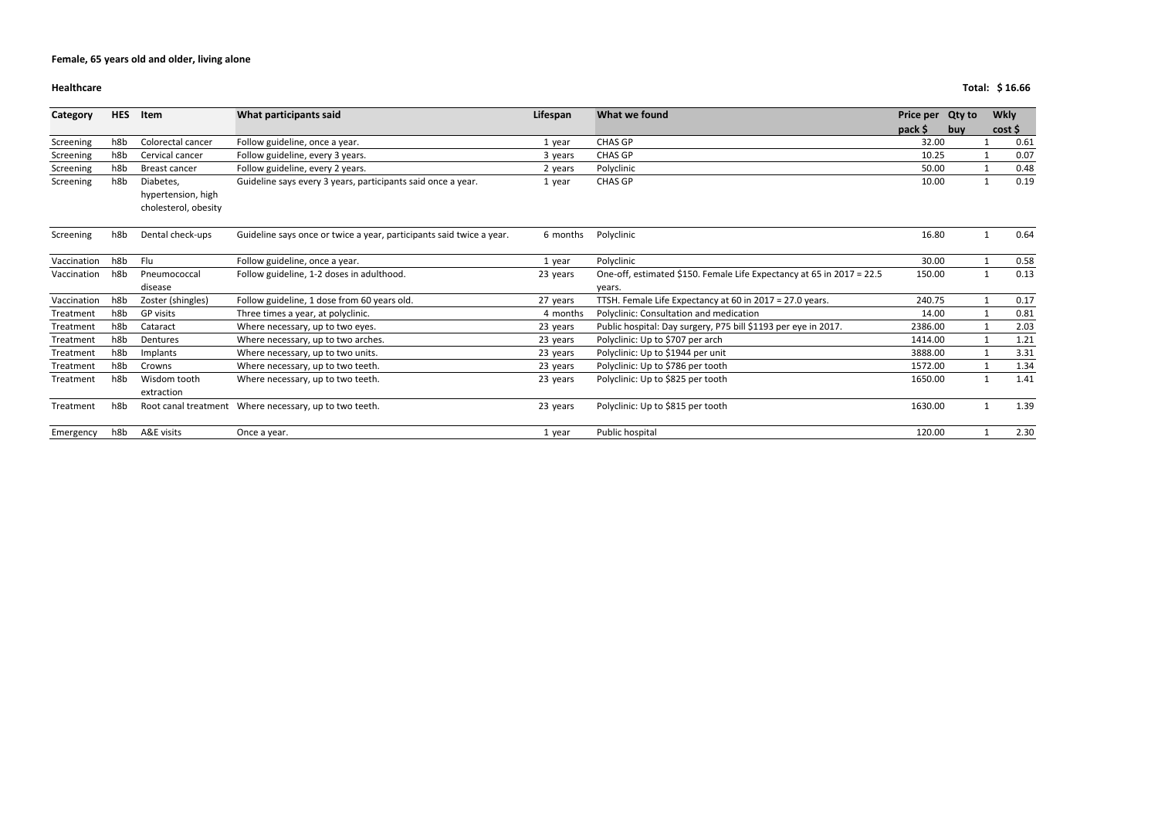### **Healthcare**

|  | Total: \$16.66 |  |
|--|----------------|--|
|--|----------------|--|

| <b>Category</b> | <b>HES</b>       | Item                                                    | What participants said                                               | Lifespan | What we found                                                         | Price per Qty to |     | <b>Wkly</b> |      |
|-----------------|------------------|---------------------------------------------------------|----------------------------------------------------------------------|----------|-----------------------------------------------------------------------|------------------|-----|-------------|------|
|                 |                  |                                                         |                                                                      |          |                                                                       |                  | buv |             | cost |
| Screening       | h8b              | Colorectal cancer                                       | Follow guideline, once a year.                                       | 1 year   | <b>CHAS GP</b>                                                        | 32.00            |     |             | 0.61 |
| Screening       | h8b              | Cervical cancer                                         | Follow guideline, every 3 years.                                     | 3 years  | CHAS GP                                                               | 10.25            |     |             | 0.07 |
| Screening       | h8b              | Breast cancer                                           | Follow guideline, every 2 years.                                     | 2 years  | Polyclinic                                                            | 50.00            |     |             | 0.48 |
| Screening       | h8b              | Diabetes,<br>hypertension, high<br>cholesterol, obesity | Guideline says every 3 years, participants said once a year.         | 1 year   | <b>CHAS GP</b>                                                        | 10.00            |     |             | 0.19 |
| Screening       | h8b              | Dental check-ups                                        | Guideline says once or twice a year, participants said twice a year. | 6 months | Polyclinic                                                            | 16.80            |     |             | 0.64 |
| Vaccination     | h8b              | Flu                                                     | Follow guideline, once a year.                                       | 1 year   | Polyclinic                                                            | 30.00            |     |             | 0.58 |
| Vaccination     | h <sub>8</sub> b | Pneumococcal                                            | Follow guideline, 1-2 doses in adulthood.                            | 23 years | One-off, estimated \$150. Female Life Expectancy at 65 in 2017 = 22.5 | 150.00           |     |             | 0.13 |
|                 |                  | disease                                                 |                                                                      |          | years.                                                                |                  |     |             |      |
| Vaccination     | h8b              | Zoster (shingles)                                       | Follow guideline, 1 dose from 60 years old.                          | 27 years | TTSH. Female Life Expectancy at 60 in 2017 = 27.0 years.              | 240.75           |     |             | 0.17 |
| Treatment       | h8b              | <b>GP</b> visits                                        | Three times a year, at polyclinic.                                   | 4 months | Polyclinic: Consultation and medication                               | 14.00            |     |             | 0.81 |
| Treatment       | h8b              | Cataract                                                | Where necessary, up to two eyes.                                     | 23 years | Public hospital: Day surgery, P75 bill \$1193 per eye in 2017.        | 2386.00          |     |             | 2.03 |
| Treatment       | h8b              | Dentures                                                | Where necessary, up to two arches.                                   | 23 years | Polyclinic: Up to \$707 per arch                                      | 1414.00          |     |             | 1.21 |
| Treatment       | h8b              | Implants                                                | Where necessary, up to two units.                                    | 23 years | Polyclinic: Up to \$1944 per unit                                     | 3888.00          |     |             | 3.31 |
| Treatment       | h8b              | Crowns                                                  | Where necessary, up to two teeth.                                    | 23 years | Polyclinic: Up to \$786 per tooth                                     | 1572.00          |     |             | 1.34 |
| Treatment       | h8b              | Wisdom tooth                                            | Where necessary, up to two teeth.                                    | 23 years | Polyclinic: Up to \$825 per tooth                                     | 1650.00          |     |             | 1.41 |
|                 |                  | extraction                                              |                                                                      |          |                                                                       |                  |     |             |      |
| Treatment       | h8b              |                                                         | Root canal treatment Where necessary, up to two teeth.               | 23 years | Polyclinic: Up to \$815 per tooth                                     | 1630.00          |     |             | 1.39 |
| Emergency       | h8b              | A&E visits                                              | Once a year.                                                         | 1 year   | Public hospital                                                       | 120.00           |     |             | 2.30 |